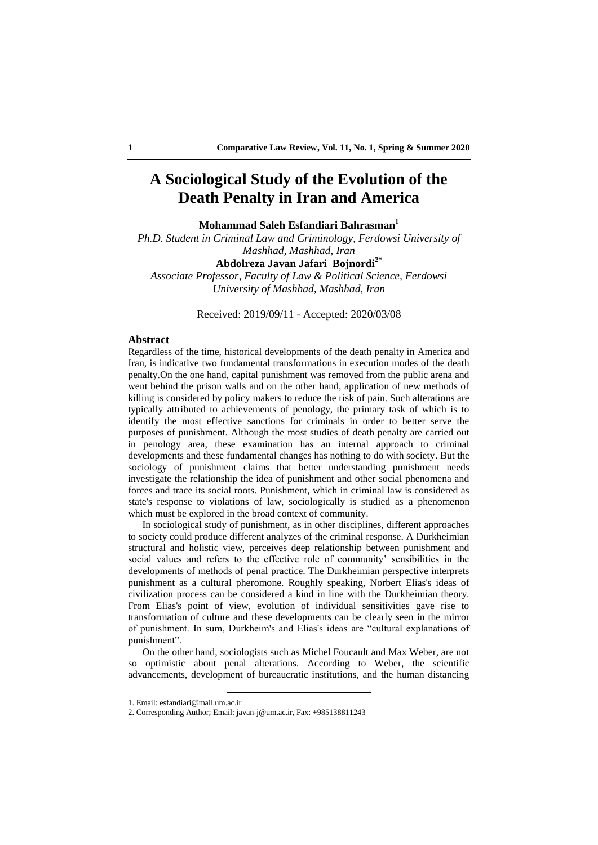## **A Sociological Study of the Evolution of the Death Penalty in Iran and America**

**Mohammad Saleh Esfandiari Bahrasman<sup>1</sup>**

*Ph.D. Student in Criminal Law and Criminology, Ferdowsi University of Mashhad, Mashhad, Iran*

## **Abdolreza Javan Jafari Bojnordi2\***

*Associate Professor, Faculty of Law & Political Science, Ferdowsi University of Mashhad, Mashhad, Iran*

Received: 2019/09/11 - Accepted: 2020/03/08

### **Abstract**

Regardless of the time, historical developments of the death penalty in America and Iran, is indicative two fundamental transformations in execution modes of the death penalty.On the one hand, capital punishment was removed from the public arena and went behind the prison walls and on the other hand, application of new methods of killing is considered by policy makers to reduce the risk of pain. Such alterations are typically attributed to achievements of penology, the primary task of which is to identify the most effective sanctions for criminals in order to better serve the purposes of punishment. Although the most studies of death penalty are carried out in penology area, these examination has an internal approach to criminal developments and these fundamental changes has nothing to do with society. But the sociology of punishment claims that better understanding punishment needs investigate the relationship the idea of punishment and other social phenomena and forces and trace its social roots. Punishment, which in criminal law is considered as state's response to violations of law, sociologically is studied as a phenomenon which must be explored in the broad context of community.

In sociological study of punishment, as in other disciplines, different approaches to society could produce different analyzes of the criminal response. A Durkheimian structural and holistic view, perceives deep relationship between punishment and social values and refers to the effective role of community' sensibilities in the developments of methods of penal practice. The Durkheimian perspective interprets punishment as a cultural pheromone. Roughly speaking, Norbert Elias's ideas of civilization process can be considered a kind in line with the Durkheimian theory. From Elias's point of view, evolution of individual sensitivities gave rise to transformation of culture and these developments can be clearly seen in the mirror of punishment. In sum, Durkheim's and Elias's ideas are "cultural explanations of punishment".

On the other hand, sociologists such as Michel Foucault and Max Weber, are not so optimistic about penal alterations. According to Weber, the scientific advancements, development of bureaucratic institutions, and the human distancing

<sup>1.</sup> Email: esfandiari@mail.um.ac.ir

<sup>2.</sup> Corresponding Author; Email: javan-j@um.ac.ir, Fax: +985138811243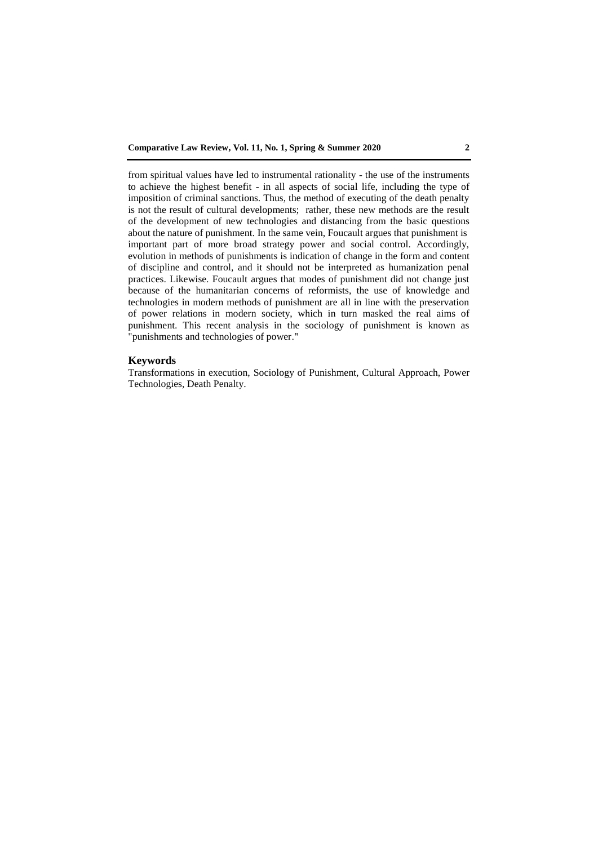from spiritual values have led to instrumental rationality - the use of the instruments to achieve the highest benefit - in all aspects of social life, including the type of imposition of criminal sanctions. Thus, the method of executing of the death penalty is not the result of cultural developments; rather, these new methods are the result of the development of new technologies and distancing from the basic questions about the nature of punishment. In the same vein, Foucault argues that punishment is important part of more broad strategy power and social control. Accordingly, evolution in methods of punishments is indication of change in the form and content of discipline and control, and it should not be interpreted as humanization penal practices. Likewise. Foucault argues that modes of punishment did not change just because of the humanitarian concerns of reformists, the use of knowledge and technologies in modern methods of punishment are all in line with the preservation of power relations in modern society, which in turn masked the real aims of punishment. This recent analysis in the sociology of punishment is known as "punishments and technologies of power."

### **Keywords**

Transformations in execution, Sociology of Punishment, Cultural Approach, Power Technologies, Death Penalty.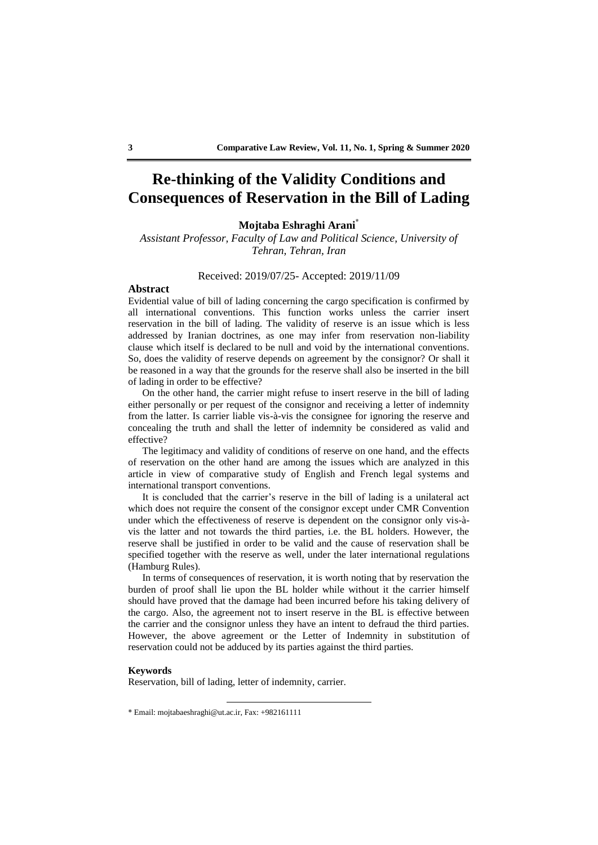## **Re-thinking of the Validity Conditions and Consequences of Reservation in the Bill of Lading**

## **Mojtaba Eshraghi Arani\***

*Assistant Professor, Faculty of Law and Political Science, University of Tehran, Tehran, Iran*

### Received: 2019/07/25- Accepted: 2019/11/09

### **Abstract**

Evidential value of bill of lading concerning the cargo specification is confirmed by all international conventions. This function works unless the carrier insert reservation in the bill of lading. The validity of reserve is an issue which is less addressed by Iranian doctrines, as one may infer from reservation non-liability clause which itself is declared to be null and void by the international conventions. So, does the validity of reserve depends on agreement by the consignor? Or shall it be reasoned in a way that the grounds for the reserve shall also be inserted in the bill of lading in order to be effective?

On the other hand, the carrier might refuse to insert reserve in the bill of lading either personally or per request of the consignor and receiving a letter of indemnity from the latter. Is carrier liable vis-à-vis the consignee for ignoring the reserve and concealing the truth and shall the letter of indemnity be considered as valid and effective?

The legitimacy and validity of conditions of reserve on one hand, and the effects of reservation on the other hand are among the issues which are analyzed in this article in view of comparative study of English and French legal systems and international transport conventions.

It is concluded that the carrier's reserve in the bill of lading is a unilateral act which does not require the consent of the consignor except under CMR Convention under which the effectiveness of reserve is dependent on the consignor only vis-àvis the latter and not towards the third parties, i.e. the BL holders. However, the reserve shall be justified in order to be valid and the cause of reservation shall be specified together with the reserve as well, under the later international regulations (Hamburg Rules).

In terms of consequences of reservation, it is worth noting that by reservation the burden of proof shall lie upon the BL holder while without it the carrier himself should have proved that the damage had been incurred before his taking delivery of the cargo. Also, the agreement not to insert reserve in the BL is effective between the carrier and the consignor unless they have an intent to defraud the third parties. However, the above agreement or the Letter of Indemnity in substitution of reservation could not be adduced by its parties against the third parties.

### **Keywords**

Reservation, bill of lading, letter of indemnity, carrier.

<sup>\*</sup> Email: mojtabaeshraghi@ut.ac.ir, Fax: +982161111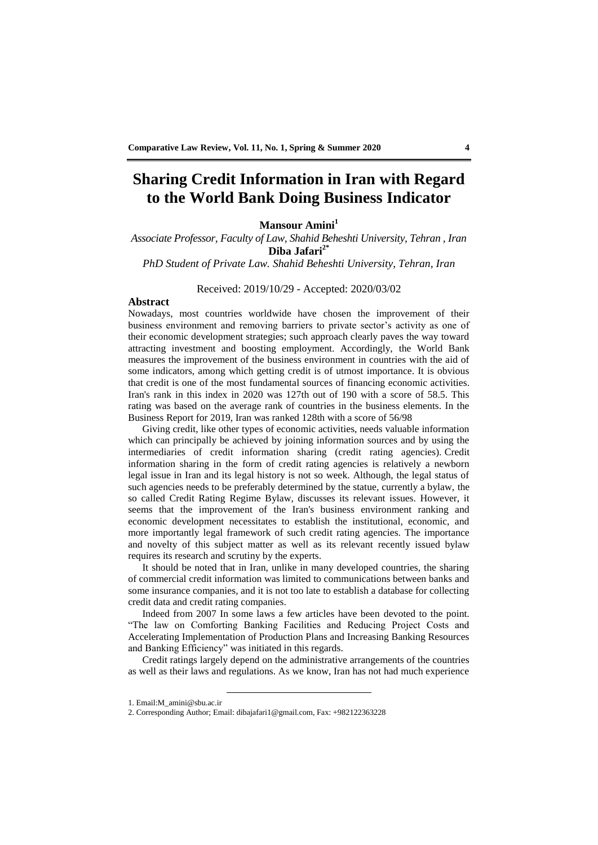## **Sharing Credit Information in Iran with Regard to the World Bank Doing Business Indicator**

## **Mansour Amini<sup>1</sup>**

*Associate Professor, Faculty of Law, Shahid Beheshti University, Tehran , Iran* **Diba Jafari2\***

*PhD Student of Private Law. Shahid Beheshti University, Tehran, Iran*

Received: 2019/10/29 - Accepted: 2020/03/02

## **Abstract**

Nowadays, most countries worldwide have chosen the improvement of their business environment and removing barriers to private sector's activity as one of their economic development strategies; such approach clearly paves the way toward attracting investment and boosting employment. Accordingly, the World Bank measures the improvement of the business environment in countries with the aid of some indicators, among which getting credit is of utmost importance. It is obvious that credit is one of the most fundamental sources of financing economic activities. Iran's rank in this index in 2020 was 127th out of 190 with a score of 58.5. This rating was based on the average rank of countries in the business elements. In the Business Report for 2019, Iran was ranked 128th with a score of 56/98

Giving credit, like other types of economic activities, needs valuable information which can principally be achieved by joining information sources and by using the intermediaries of credit information sharing (credit rating agencies). Credit information sharing in the form of credit rating agencies is relatively a newborn legal issue in Iran and its legal history is not so week. Although, the legal status of such agencies needs to be preferably determined by the statue, currently a bylaw, the so called Credit Rating Regime Bylaw, discusses its relevant issues. However, it seems that the improvement of the Iran's business environment ranking and economic development necessitates to establish the institutional, economic, and more importantly legal framework of such credit rating agencies. The importance and novelty of this subject matter as well as its relevant recently issued bylaw requires its research and scrutiny by the experts.

It should be noted that in Iran, unlike in many developed countries, the sharing of commercial credit information was limited to communications between banks and some insurance companies, and it is not too late to establish a database for collecting credit data and credit rating companies.

Indeed from 2007 In some laws a few articles have been devoted to the point. "The law on Comforting Banking Facilities and Reducing Project Costs and Accelerating Implementation of Production Plans and Increasing Banking Resources and Banking Efficiency" was initiated in this regards.

Credit ratings largely depend on the administrative arrangements of the countries as well as their laws and regulations. As we know, Iran has not had much experience

<sup>1.</sup> Email:M\_amini@sbu.ac.ir

<sup>2.</sup> Corresponding Author; Email: dibajafari1@gmail.com, Fax: +982122363228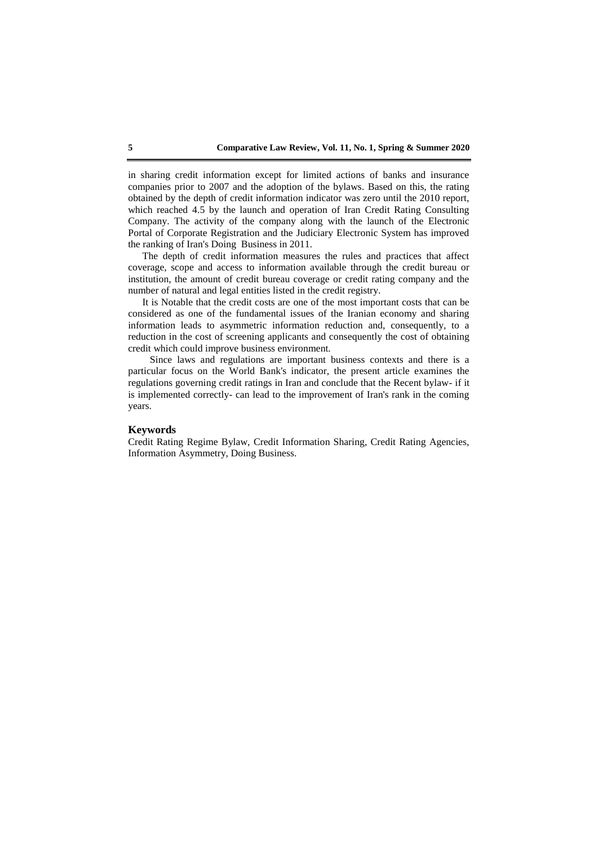in sharing credit information except for limited actions of banks and insurance companies prior to 2007 and the adoption of the bylaws. Based on this, the rating obtained by the depth of credit information indicator was zero until the 2010 report, which reached 4.5 by the launch and operation of Iran Credit Rating Consulting Company. The activity of the company along with the launch of the Electronic Portal of Corporate Registration and the Judiciary Electronic System has improved the ranking of Iran's Doing Business in 2011.

The depth of credit information measures the rules and practices that affect coverage, scope and access to information available through the credit bureau or institution, the amount of credit bureau coverage or credit rating company and the number of natural and legal entities listed in the credit registry.

It is Notable that the credit costs are one of the most important costs that can be considered as one of the fundamental issues of the Iranian economy and sharing information leads to asymmetric information reduction and, consequently, to a reduction in the cost of screening applicants and consequently the cost of obtaining credit which could improve business environment.

Since laws and regulations are important business contexts and there is a particular focus on the World Bank's indicator, the present article examines the regulations governing credit ratings in Iran and conclude that the Recent bylaw- if it is implemented correctly- can lead to the improvement of Iran's rank in the coming years.

### **Keywords**

Credit Rating Regime Bylaw, Credit Information Sharing, Credit Rating Agencies, Information Asymmetry, Doing Business.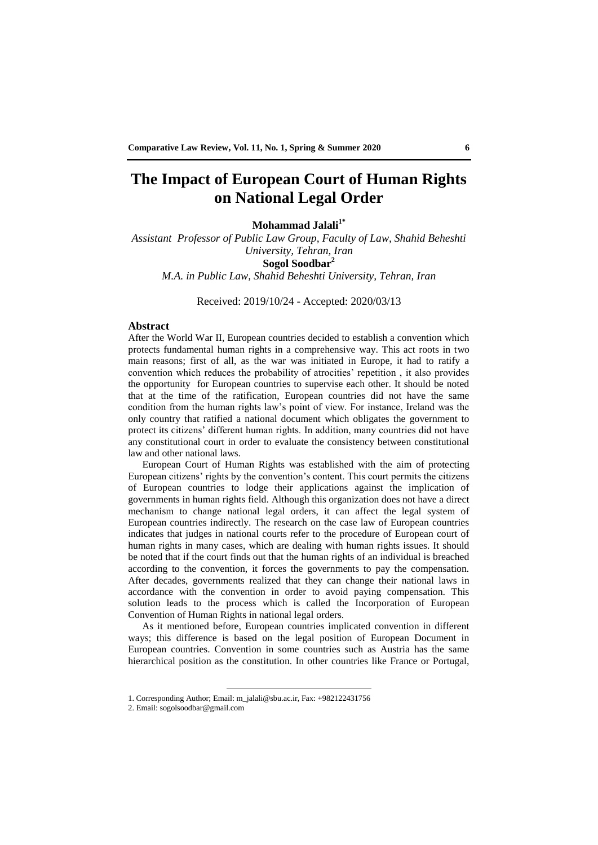## **The Impact of European Court of Human Rights on National Legal Order**

**Mohammad Jalali1\***

*Assistant Professor of Public Law Group, Faculty of Law, Shahid Beheshti University, Tehran, Iran* **Sogol Soodbar<sup>2</sup>** *M.A. in Public Law, Shahid Beheshti University, Tehran, Iran*

Received: 2019/10/24 - Accepted: 2020/03/13

### **Abstract**

After the World War II, European countries decided to establish a convention which protects fundamental human rights in a comprehensive way. This act roots in two main reasons; first of all, as the war was initiated in Europe, it had to ratify a convention which reduces the probability of atrocities' repetition , it also provides the opportunity for European countries to supervise each other. It should be noted that at the time of the ratification, European countries did not have the same condition from the human rights law's point of view. For instance, Ireland was the only country that ratified a national document which obligates the government to protect its citizens' different human rights. In addition, many countries did not have any constitutional court in order to evaluate the consistency between constitutional law and other national laws.

European Court of Human Rights was established with the aim of protecting European citizens' rights by the convention's content. This court permits the citizens of European countries to lodge their applications against the implication of governments in human rights field. Although this organization does not have a direct mechanism to change national legal orders, it can affect the legal system of European countries indirectly. The research on the case law of European countries indicates that judges in national courts refer to the procedure of European court of human rights in many cases, which are dealing with human rights issues. It should be noted that if the court finds out that the human rights of an individual is breached according to the convention, it forces the governments to pay the compensation. After decades, governments realized that they can change their national laws in accordance with the convention in order to avoid paying compensation. This solution leads to the process which is called the Incorporation of European Convention of Human Rights in national legal orders.

As it mentioned before, European countries implicated convention in different ways; this difference is based on the legal position of European Document in European countries. Convention in some countries such as Austria has the same hierarchical position as the constitution. In other countries like France or Portugal,

<sup>1.</sup> Corresponding Author; Email: m\_jalali@sbu.ac.ir, Fax: +982122431756

<sup>2.</sup> Email: sogolsoodbar@gmail.com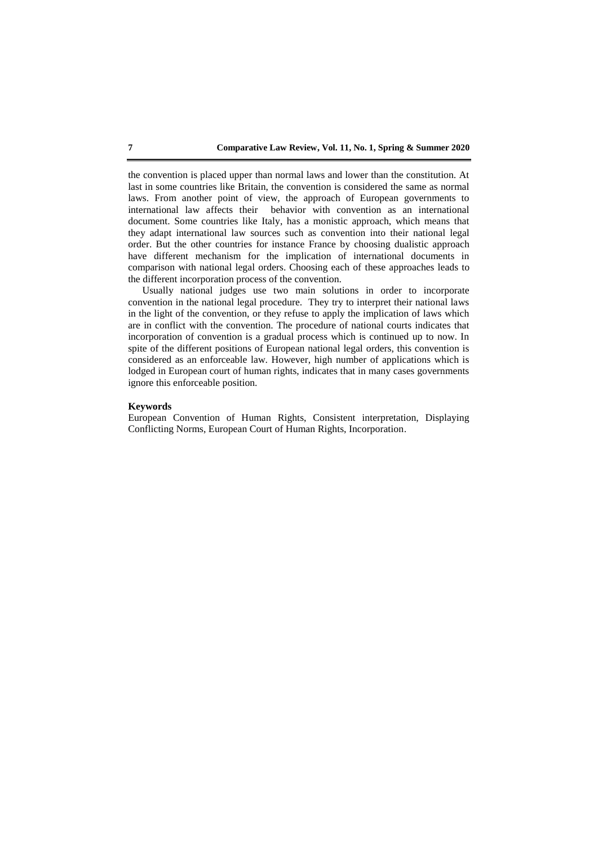the convention is placed upper than normal laws and lower than the constitution. At last in some countries like Britain, the convention is considered the same as normal laws. From another point of view, the approach of European governments to international law affects their behavior with convention as an international document. Some countries like Italy, has a monistic approach, which means that they adapt international law sources such as convention into their national legal order. But the other countries for instance France by choosing dualistic approach have different mechanism for the implication of international documents in comparison with national legal orders. Choosing each of these approaches leads to the different incorporation process of the convention.

Usually national judges use two main solutions in order to incorporate convention in the national legal procedure. They try to interpret their national laws in the light of the convention, or they refuse to apply the implication of laws which are in conflict with the convention. The procedure of national courts indicates that incorporation of convention is a gradual process which is continued up to now. In spite of the different positions of European national legal orders, this convention is considered as an enforceable law. However, high number of applications which is lodged in European court of human rights, indicates that in many cases governments ignore this enforceable position.

### **Keywords**

European Convention of Human Rights, Consistent interpretation, Displaying Conflicting Norms, European Court of Human Rights, Incorporation.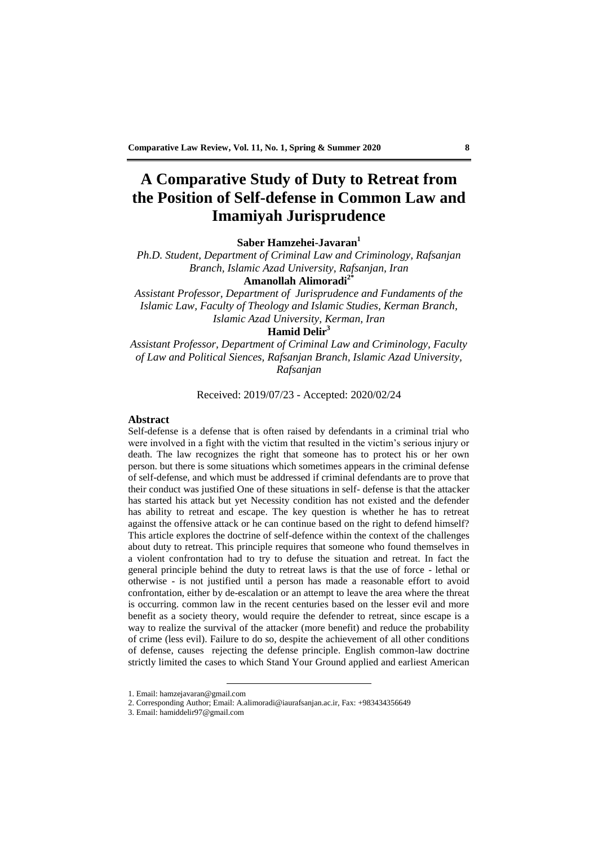# **A Comparative Study of Duty to Retreat from the Position of Self-defense in Common Law and Imamiyah Jurisprudence**

**Saber Hamzehei-Javaran<sup>1</sup>**

*Ph.D. Student, Department of Criminal Law and Criminology, Rafsanjan Branch, Islamic Azad University, Rafsanjan, Iran* **Amanollah Alimoradi2\***

*Assistant Professor, Department of Jurisprudence and Fundaments of the Islamic Law, Faculty of Theology and Islamic Studies, Kerman Branch, Islamic Azad University, Kerman, Iran*

## **Hamid Delir<sup>3</sup>**

*Assistant Professor, Department of Criminal Law and Criminology, Faculty of Law and Political Siences, Rafsanjan Branch, Islamic Azad University, Rafsanjan*

Received: 2019/07/23 - Accepted: 2020/02/24

### **Abstract**

Self-defense is a defense that is often raised by defendants in a criminal trial who were involved in a fight with the victim that resulted in the victim's serious injury or death. The law recognizes the right that someone has to protect his or her own person. but there is some situations which sometimes appears in the criminal defense of self-defense, and which must be addressed if criminal defendants are to prove that their conduct was justified One of these situations in self- defense is that the attacker has started his attack but yet Necessity condition has not existed and the defender has ability to retreat and escape. The key question is whether he has to retreat against the offensive attack or he can continue based on the right to defend himself? This article explores the doctrine of self-defence within the context of the challenges about duty to retreat. This principle requires that someone who found themselves in a violent confrontation had to try to defuse the situation and retreat. In fact the general principle behind the duty to retreat laws is that the use of force - lethal or otherwise - is not justified until a person has made a reasonable effort to avoid confrontation, either by de-escalation or an attempt to leave the area where the threat is occurring. common law in the recent centuries based on the lesser evil and more benefit as a society theory, would require the defender to retreat, since escape is a way to realize the survival of the attacker (more benefit) and reduce the probability of crime (less evil). Failure to do so, despite the achievement of all other conditions of defense, causes rejecting the defense principle. English common-law doctrine strictly limited the cases to which Stand Your Ground applied and earliest American

<sup>1.</sup> Email: hamzejavaran@gmail.com

<sup>2.</sup> Corresponding Author; Email: A.alimoradi@iaurafsanjan.ac.ir, Fax: +983434356649

<sup>3.</sup> Email: hamiddelir97@gmail.com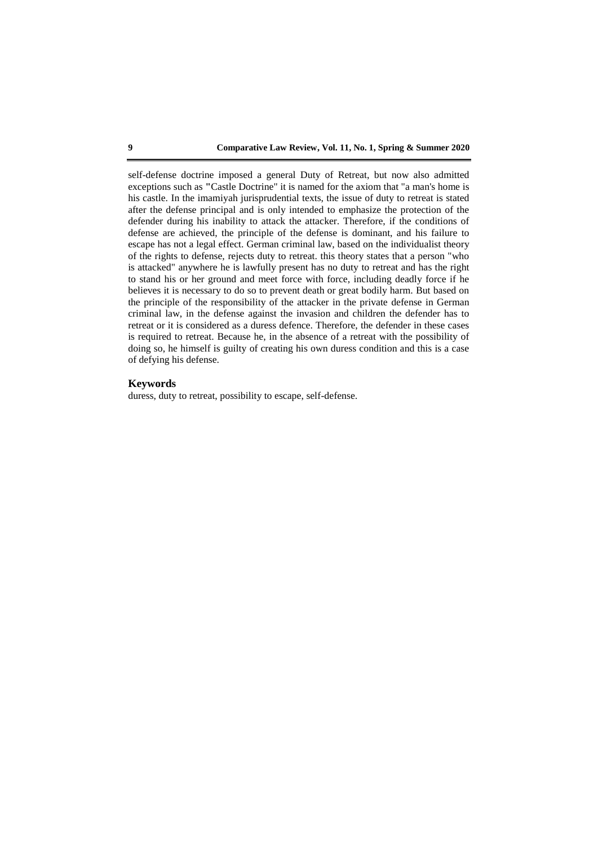self-defense doctrine imposed a general Duty of Retreat, but now also admitted exceptions such as **"**Castle Doctrine" it is named for the axiom that "a man's home is his castle. In the imamiyah jurisprudential texts, the issue of duty to retreat is stated after the defense principal and is only intended to emphasize the protection of the defender during his inability to attack the attacker. Therefore, if the conditions of defense are achieved, the principle of the defense is dominant, and his failure to escape has not a legal effect. German criminal law, based on the individualist theory of the rights to defense, rejects duty to retreat. this theory states that a person "who is attacked" anywhere he is lawfully present has no duty to retreat and has the right to stand his or her ground and meet force with force, including deadly force if he believes it is necessary to do so to prevent death or great bodily harm. But based on the principle of the responsibility of the attacker in the private defense in German criminal law, in the defense against the invasion and children the defender has to retreat or it is considered as a duress defence. Therefore, the defender in these cases is required to retreat. Because he, in the absence of a retreat with the possibility of doing so, he himself is guilty of creating his own duress condition and this is a case of defying his defense.

### **Keywords**

duress, duty to retreat, possibility to escape, self-defense.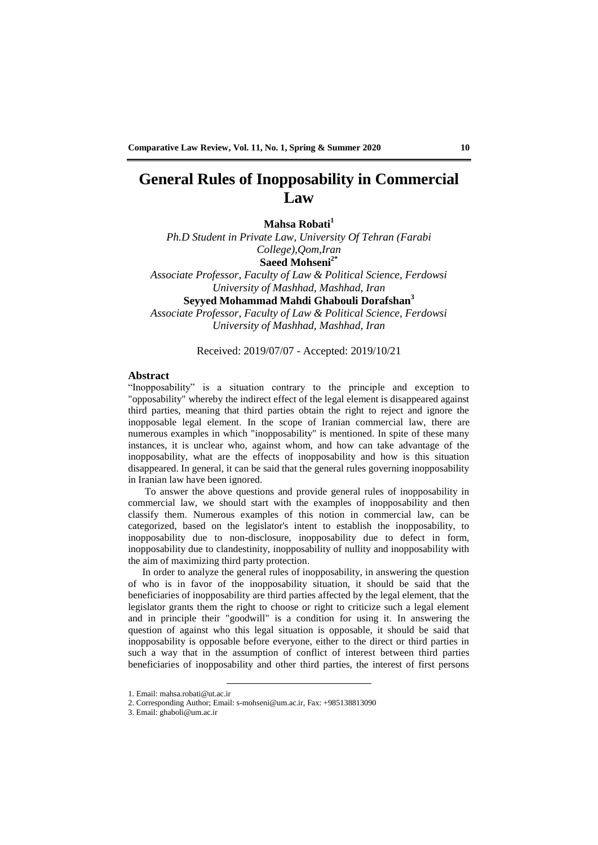# **General Rules of Inopposability in Commercial Law**

**Mahsa Robati<sup>1</sup>**

*Ph.D Student in Private Law, University Of Tehran (Farabi College),Qom,Iran* **Saeed Mohseni2\*** *Associate Professor, Faculty of Law & Political Science, Ferdowsi University of Mashhad, Mashhad, Iran*

**Seyyed Mohammad Mahdi Ghabouli Dorafshan<sup>3</sup>**

*Associate Professor, Faculty of Law & Political Science, Ferdowsi University of Mashhad, Mashhad, Iran*

## Received: 2019/07/07 - Accepted: 2019/10/21

## **Abstract**

"Inopposability" is a situation contrary to the principle and exception to "opposability" whereby the indirect effect of the legal element is disappeared against third parties, meaning that third parties obtain the right to reject and ignore the inopposable legal element. In the scope of Iranian commercial law, there are numerous examples in which "inopposability" is mentioned. In spite of these many instances, it is unclear who, against whom, and how can take advantage of the inopposability, what are the effects of inopposability and how is this situation disappeared. In general, it can be said that the general rules governing inopposability in Iranian law have been ignored.

To answer the above questions and provide general rules of inopposability in commercial law, we should start with the examples of inopposability and then classify them. Numerous examples of this notion in commercial law, can be categorized, based on the legislator's intent to establish the inopposability, to inopposability due to non-disclosure, inopposability due to defect in form, inopposability due to clandestinity, inopposability of nullity and inopposability with the aim of maximizing third party protection.

In order to analyze the general rules of inopposability, in answering the question of who is in favor of the inopposability situation, it should be said that the beneficiaries of inopposability are third parties affected by the legal element, that the legislator grants them the right to choose or right to criticize such a legal element and in principle their "goodwill" is a condition for using it. In answering the question of against who this legal situation is opposable, it should be said that inopposability is opposable before everyone, either to the direct or third parties in such a way that in the assumption of conflict of interest between third parties beneficiaries of inopposability and other third parties, the interest of first persons

<sup>1.</sup> Email: mahsa.robati@ut.ac.ir

<sup>2.</sup> Corresponding Author; Email: s-mohseni@um.ac.ir, Fax: +985138813090

<sup>3.</sup> Email: ghaboli@um.ac.ir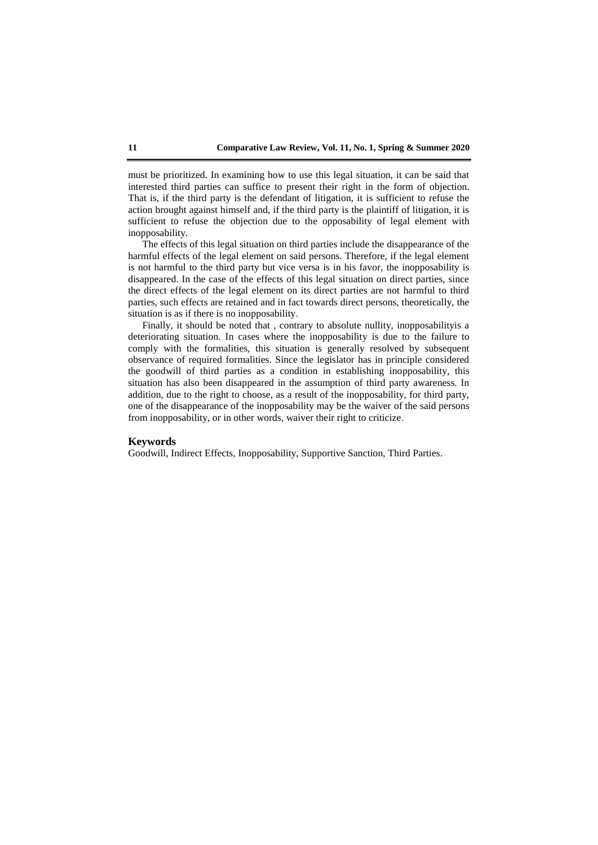must be prioritized. In examining how to use this legal situation, it can be said that interested third parties can suffice to present their right in the form of objection. That is, if the third party is the defendant of litigation, it is sufficient to refuse the action brought against himself and, if the third party is the plaintiff of litigation, it is sufficient to refuse the objection due to the opposability of legal element with inopposability.

The effects of this legal situation on third parties include the disappearance of the harmful effects of the legal element on said persons. Therefore, if the legal element is not harmful to the third party but vice versa is in his favor, the inopposability is disappeared. In the case of the effects of this legal situation on direct parties, since the direct effects of the legal element on its direct parties are not harmful to third parties, such effects are retained and in fact towards direct persons, theoretically, the situation is as if there is no inopposability.

Finally, it should be noted that , contrary to absolute nullity, inopposabilityis a deteriorating situation. In cases where the inopposability is due to the failure to comply with the formalities, this situation is generally resolved by subsequent observance of required formalities. Since the legislator has in principle considered the goodwill of third parties as a condition in establishing inopposability, this situation has also been disappeared in the assumption of third party awareness. In addition, due to the right to choose, as a result of the inopposability, for third party, one of the disappearance of the inopposability may be the waiver of the said persons from inopposability, or in other words, waiver their right to criticize.

#### **Keywords**

Goodwill, Indirect Effects, Inopposability, Supportive Sanction, Third Parties.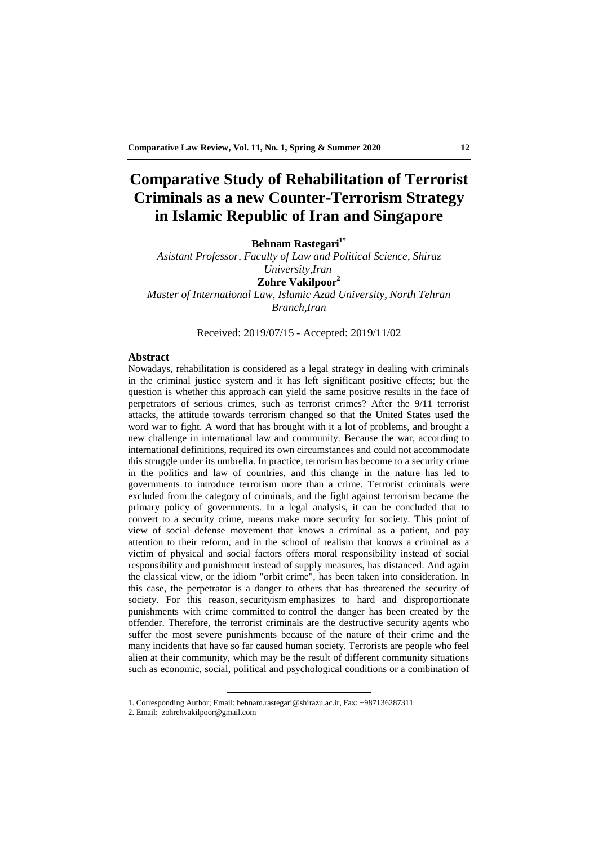# **Comparative Study of Rehabilitation of Terrorist Criminals as a new Counter-Terrorism Strategy in Islamic Republic of Iran and Singapore**

**Behnam Rastegari1\***

*Asistant Professor, Faculty of Law and Political Science, Shiraz University,Iran* **Zohre Vakilpoor<sup>2</sup>** *Master of International Law, Islamic Azad University, North Tehran Branch,Iran*

Received: 2019/07/15 - Accepted: 2019/11/02

## **Abstract**

Nowadays, rehabilitation is considered as a legal strategy in dealing with criminals in the criminal justice system and it has left significant positive effects; but the question is whether this approach can yield the same positive results in the face of perpetrators of serious crimes, such as terrorist crimes? After the 9/11 terrorist attacks, the attitude towards terrorism changed so that the United States used the word war to fight. A word that has brought with it a lot of problems, and brought a new challenge in international law and community. Because the war, according to international definitions, required its own circumstances and could not accommodate this struggle under its umbrella. In practice, terrorism has become to a security crime in the politics and law of countries, and this change in the nature has led to governments to introduce terrorism more than a crime. Terrorist criminals were excluded from the category of criminals, and the fight against terrorism became the primary policy of governments. In a legal analysis, it can be concluded that to convert to a security crime, means make more security for society. This point of view of social defense movement that knows a criminal as a patient, and pay attention to their reform, and in the school of realism that knows a criminal as a victim of physical and social factors offers moral responsibility instead of social responsibility and punishment instead of supply measures, has distanced. And again the classical view, or the idiom "orbit crime", has been taken into consideration. In this case, the perpetrator is a danger to others that has threatened the security of society. For this reason, securityism emphasizes to hard and disproportionate punishments with crime committed to control the danger has been created by the offender. Therefore, the terrorist criminals are the destructive security agents who suffer the most severe punishments because of the nature of their crime and the many incidents that have so far caused human society. Terrorists are people who feel alien at their community, which may be the result of different community situations such as economic, social, political and psychological conditions or a combination of

<sup>1.</sup> Corresponding Author; Email: behnam.rastegari@shirazu.ac.ir, Fax: +987136287311

<sup>2.</sup> Email: zohrehvakilpoor@gmail.com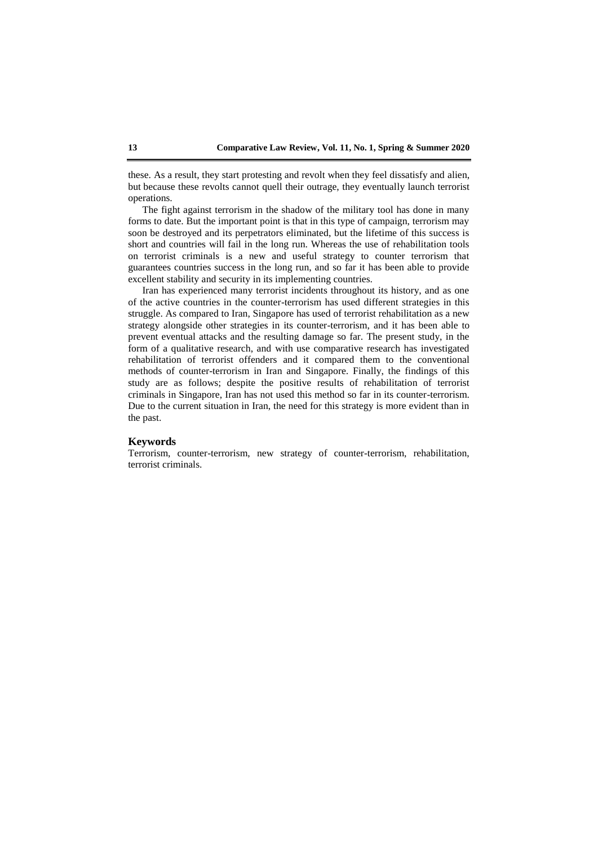these. As a result, they start protesting and revolt when they feel dissatisfy and alien, but because these revolts cannot quell their outrage, they eventually launch terrorist operations.

The fight against terrorism in the shadow of the military tool has done in many forms to date. But the important point is that in this type of campaign, terrorism may soon be destroyed and its perpetrators eliminated, but the lifetime of this success is short and countries will fail in the long run. Whereas the use of rehabilitation tools on terrorist criminals is a new and useful strategy to counter terrorism that guarantees countries success in the long run, and so far it has been able to provide excellent stability and security in its implementing countries.

Iran has experienced many terrorist incidents throughout its history, and as one of the active countries in the counter-terrorism has used different strategies in this struggle. As compared to Iran, Singapore has used of terrorist rehabilitation as a new strategy alongside other strategies in its counter-terrorism, and it has been able to prevent eventual attacks and the resulting damage so far. The present study, in the form of a qualitative research, and with use comparative research has investigated rehabilitation of terrorist offenders and it compared them to the conventional methods of counter-terrorism in Iran and Singapore. Finally, the findings of this study are as follows; despite the positive results of rehabilitation of terrorist criminals in Singapore, Iran has not used this method so far in its counter-terrorism. Due to the current situation in Iran, the need for this strategy is more evident than in the past.

#### **Keywords**

Terrorism, counter-terrorism, new strategy of counter-terrorism, rehabilitation, terrorist criminals.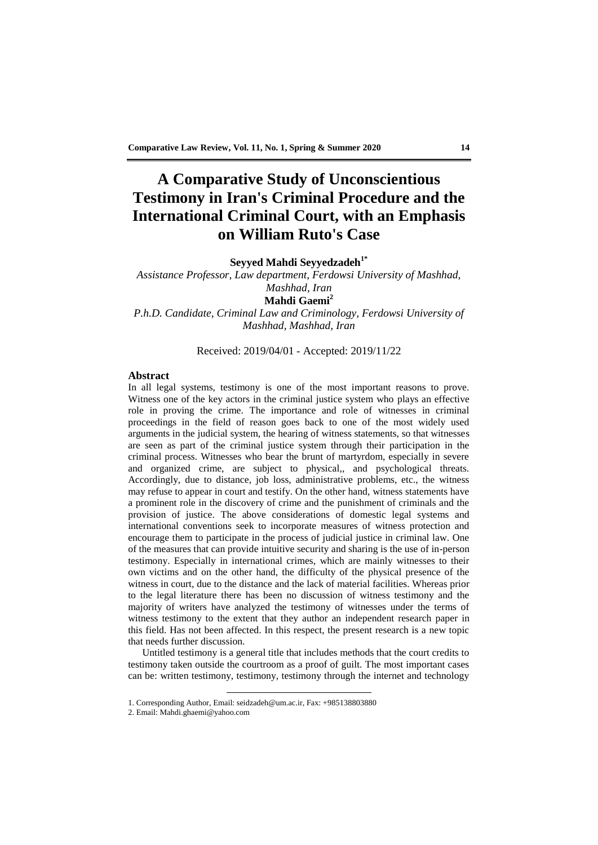# **A Comparative Study of Unconscientious Testimony in Iran's Criminal Procedure and the International Criminal Court, with an Emphasis on William Ruto's Case**

**Seyyed Mahdi Seyyedzadeh1\***

*Assistance Professor, Law department, Ferdowsi University of Mashhad, Mashhad, Iran* **Mahdi Gaemi<sup>2</sup>**

*P.h.D. Candidate, Criminal Law and Criminology, Ferdowsi University of Mashhad, Mashhad, Iran*

## Received: 2019/04/01 - Accepted: 2019/11/22

## **Abstract**

In all legal systems, testimony is one of the most important reasons to prove. Witness one of the key actors in the criminal justice system who plays an effective role in proving the crime. The importance and role of witnesses in criminal proceedings in the field of reason goes back to one of the most widely used arguments in the judicial system, the hearing of witness statements, so that witnesses are seen as part of the criminal justice system through their participation in the criminal process. Witnesses who bear the brunt of martyrdom, especially in severe and organized crime, are subject to physical,, and psychological threats. Accordingly, due to distance, job loss, administrative problems, etc., the witness may refuse to appear in court and testify. On the other hand, witness statements have a prominent role in the discovery of crime and the punishment of criminals and the provision of justice. The above considerations of domestic legal systems and international conventions seek to incorporate measures of witness protection and encourage them to participate in the process of judicial justice in criminal law. One of the measures that can provide intuitive security and sharing is the use of in-person testimony. Especially in international crimes, which are mainly witnesses to their own victims and on the other hand, the difficulty of the physical presence of the witness in court, due to the distance and the lack of material facilities. Whereas prior to the legal literature there has been no discussion of witness testimony and the majority of writers have analyzed the testimony of witnesses under the terms of witness testimony to the extent that they author an independent research paper in this field. Has not been affected. In this respect, the present research is a new topic that needs further discussion.

Untitled testimony is a general title that includes methods that the court credits to testimony taken outside the courtroom as a proof of guilt. The most important cases can be: written testimony, testimony, testimony through the internet and technology

<sup>1.</sup> Corresponding Author, Email: seidzadeh@um.ac.ir, Fax: +985138803880

<sup>2.</sup> Email: Mahdi.ghaemi@yahoo.com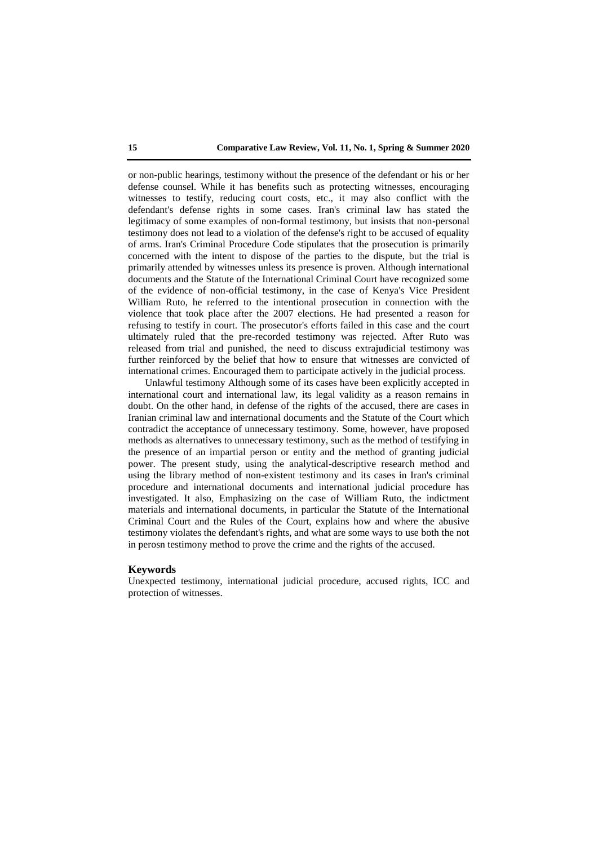or non-public hearings, testimony without the presence of the defendant or his or her defense counsel. While it has benefits such as protecting witnesses, encouraging witnesses to testify, reducing court costs, etc., it may also conflict with the defendant's defense rights in some cases. Iran's criminal law has stated the legitimacy of some examples of non-formal testimony, but insists that non-personal testimony does not lead to a violation of the defense's right to be accused of equality of arms. Iran's Criminal Procedure Code stipulates that the prosecution is primarily concerned with the intent to dispose of the parties to the dispute, but the trial is primarily attended by witnesses unless its presence is proven. Although international documents and the Statute of the International Criminal Court have recognized some of the evidence of non-official testimony, in the case of Kenya's Vice President William Ruto, he referred to the intentional prosecution in connection with the violence that took place after the 2007 elections. He had presented a reason for refusing to testify in court. The prosecutor's efforts failed in this case and the court ultimately ruled that the pre-recorded testimony was rejected. After Ruto was released from trial and punished, the need to discuss extrajudicial testimony was further reinforced by the belief that how to ensure that witnesses are convicted of international crimes. Encouraged them to participate actively in the judicial process.

Unlawful testimony Although some of its cases have been explicitly accepted in international court and international law, its legal validity as a reason remains in doubt. On the other hand, in defense of the rights of the accused, there are cases in Iranian criminal law and international documents and the Statute of the Court which contradict the acceptance of unnecessary testimony. Some, however, have proposed methods as alternatives to unnecessary testimony, such as the method of testifying in the presence of an impartial person or entity and the method of granting judicial power. The present study, using the analytical-descriptive research method and using the library method of non-existent testimony and its cases in Iran's criminal procedure and international documents and international judicial procedure has investigated. It also, Emphasizing on the case of William Ruto, the indictment materials and international documents, in particular the Statute of the International Criminal Court and the Rules of the Court, explains how and where the abusive testimony violates the defendant's rights, and what are some ways to use both the not in perosn testimony method to prove the crime and the rights of the accused.

### **Keywords**

Unexpected testimony, international judicial procedure, accused rights, ICC and protection of witnesses.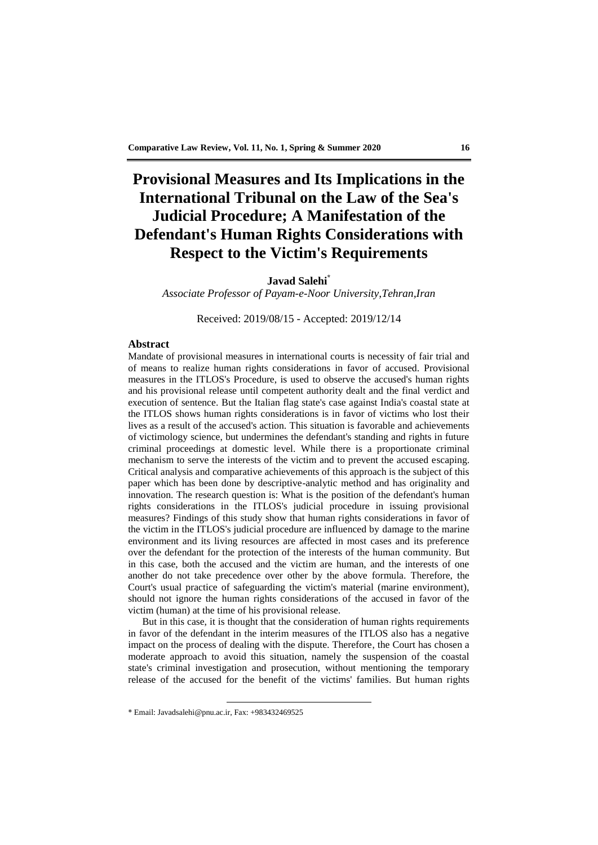# **Provisional Measures and Its Implications in the International Tribunal on the Law of the Sea's Judicial Procedure; A Manifestation of the Defendant's Human Rights Considerations with Respect to the Victim's Requirements**

## **Javad Salehi\***

*Associate Professor of Payam-e-Noor University,Tehran,Iran*

Received: 2019/08/15 - Accepted: 2019/12/14

## **Abstract**

Mandate of provisional measures in international courts is necessity of fair trial and of means to realize human rights considerations in favor of accused. Provisional measures in the ITLOS's Procedure, is used to observe the accused's human rights and his provisional release until competent authority dealt and the final verdict and execution of sentence. But the Italian flag state's case against India's coastal state at the ITLOS shows human rights considerations is in favor of victims who lost their lives as a result of the accused's action. This situation is favorable and achievements of victimology science, but undermines the defendant's standing and rights in future criminal proceedings at domestic level. While there is a proportionate criminal mechanism to serve the interests of the victim and to prevent the accused escaping. Critical analysis and comparative achievements of this approach is the subject of this paper which has been done by descriptive-analytic method and has originality and innovation. The research question is: What is the position of the defendant's human rights considerations in the ITLOS's judicial procedure in issuing provisional measures? Findings of this study show that human rights considerations in favor of the victim in the ITLOS's judicial procedure are influenced by damage to the marine environment and its living resources are affected in most cases and its preference over the defendant for the protection of the interests of the human community. But in this case, both the accused and the victim are human, and the interests of one another do not take precedence over other by the above formula. Therefore, the Court's usual practice of safeguarding the victim's material (marine environment), should not ignore the human rights considerations of the accused in favor of the victim (human) at the time of his provisional release.

But in this case, it is thought that the consideration of human rights requirements in favor of the defendant in the interim measures of the ITLOS also has a negative impact on the process of dealing with the dispute. Therefore, the Court has chosen a moderate approach to avoid this situation, namely the suspension of the coastal state's criminal investigation and prosecution, without mentioning the temporary release of the accused for the benefit of the victims' families. But human rights

<sup>\*</sup> Email: Javadsalehi@pnu.ac.ir, Fax: +983432469525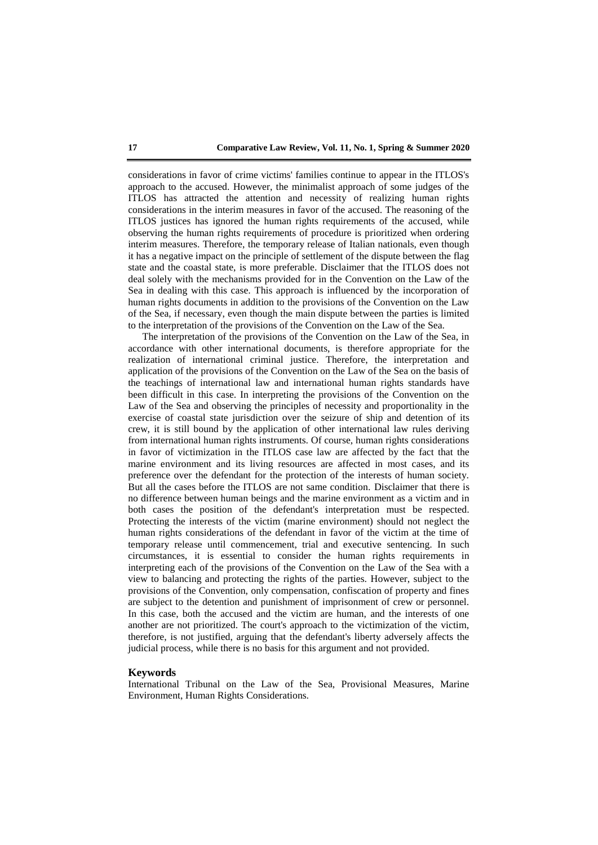considerations in favor of crime victims' families continue to appear in the ITLOS's approach to the accused. However, the minimalist approach of some judges of the ITLOS has attracted the attention and necessity of realizing human rights considerations in the interim measures in favor of the accused. The reasoning of the ITLOS justices has ignored the human rights requirements of the accused, while observing the human rights requirements of procedure is prioritized when ordering interim measures. Therefore, the temporary release of Italian nationals, even though it has a negative impact on the principle of settlement of the dispute between the flag state and the coastal state, is more preferable. Disclaimer that the ITLOS does not deal solely with the mechanisms provided for in the Convention on the Law of the Sea in dealing with this case. This approach is influenced by the incorporation of human rights documents in addition to the provisions of the Convention on the Law of the Sea, if necessary, even though the main dispute between the parties is limited to the interpretation of the provisions of the Convention on the Law of the Sea.

The interpretation of the provisions of the Convention on the Law of the Sea, in accordance with other international documents, is therefore appropriate for the realization of international criminal justice. Therefore, the interpretation and application of the provisions of the Convention on the Law of the Sea on the basis of the teachings of international law and international human rights standards have been difficult in this case. In interpreting the provisions of the Convention on the Law of the Sea and observing the principles of necessity and proportionality in the exercise of coastal state jurisdiction over the seizure of ship and detention of its crew, it is still bound by the application of other international law rules deriving from international human rights instruments. Of course, human rights considerations in favor of victimization in the ITLOS case law are affected by the fact that the marine environment and its living resources are affected in most cases, and its preference over the defendant for the protection of the interests of human society. But all the cases before the ITLOS are not same condition. Disclaimer that there is no difference between human beings and the marine environment as a victim and in both cases the position of the defendant's interpretation must be respected. Protecting the interests of the victim (marine environment) should not neglect the human rights considerations of the defendant in favor of the victim at the time of temporary release until commencement, trial and executive sentencing. In such circumstances, it is essential to consider the human rights requirements in interpreting each of the provisions of the Convention on the Law of the Sea with a view to balancing and protecting the rights of the parties. However, subject to the provisions of the Convention, only compensation, confiscation of property and fines are subject to the detention and punishment of imprisonment of crew or personnel. In this case, both the accused and the victim are human, and the interests of one another are not prioritized. The court's approach to the victimization of the victim, therefore, is not justified, arguing that the defendant's liberty adversely affects the judicial process, while there is no basis for this argument and not provided.

#### **Keywords**

International Tribunal on the Law of the Sea, Provisional Measures, Marine Environment, Human Rights Considerations.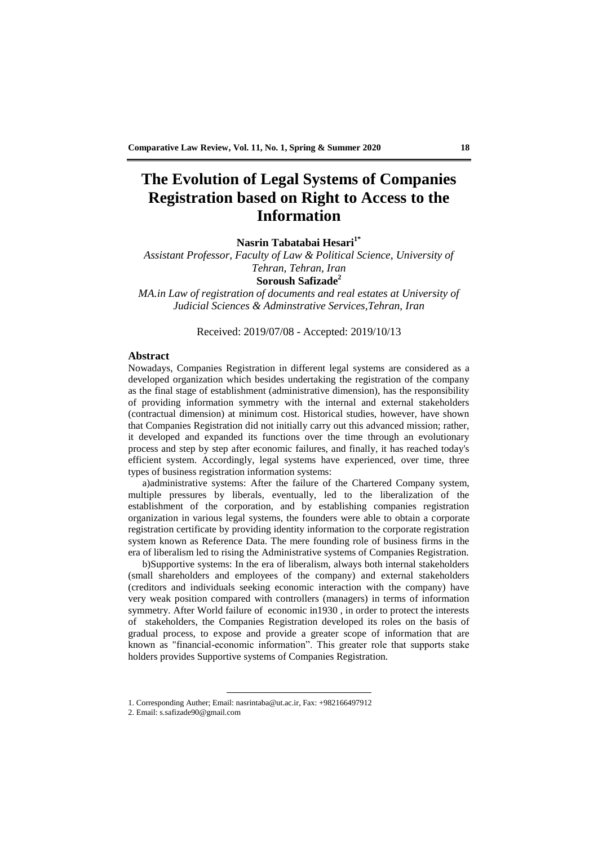# **The Evolution of Legal Systems of Companies Registration based on Right to Access to the Information**

**Nasrin Tabatabai Hesari1\***

*Assistant Professor, Faculty of Law & Political Science, University of Tehran, Tehran, Iran* **Soroush Safizade<sup>2</sup>** *MA.in Law of registration of documents and real estates at University of* 

*Judicial Sciences & Adminstrative Services,Tehran, Iran*

Received: 2019/07/08 - Accepted: 2019/10/13

## **Abstract**

Nowadays, Companies Registration in different legal systems are considered as a developed organization which besides undertaking the registration of the company as the final stage of establishment (administrative dimension), has the responsibility of providing information symmetry with the internal and external stakeholders (contractual dimension) at minimum cost. Historical studies, however, have shown that Companies Registration did not initially carry out this advanced mission; rather, it developed and expanded its functions over the time through an evolutionary process and step by step after economic failures, and finally, it has reached today's efficient system. Accordingly, legal systems have experienced, over time, three types of business registration information systems:

a)administrative systems: After the failure of the Chartered Company system, multiple pressures by liberals, eventually, led to the liberalization of the establishment of the corporation, and by establishing companies registration organization in various legal systems, the founders were able to obtain a corporate registration certificate by providing identity information to the corporate registration system known as Reference Data. The mere founding role of business firms in the era of liberalism led to rising the Administrative systems of Companies Registration.

b)Supportive systems: In the era of liberalism, always both internal stakeholders (small shareholders and employees of the company) and external stakeholders (creditors and individuals seeking economic interaction with the company) have very weak position compared with controllers (managers) in terms of information symmetry. After World failure of economic in1930 , in order to protect the interests of stakeholders, the Companies Registration developed its roles on the basis of gradual process, to expose and provide a greater scope of information that are known as "financial-economic information". This greater role that supports stake holders provides Supportive systems of Companies Registration.

<sup>1.</sup> Corresponding Auther; Email: nasrintaba@ut.ac.ir, Fax: +982166497912

<sup>2.</sup> Email: s.safizade90@gmail.com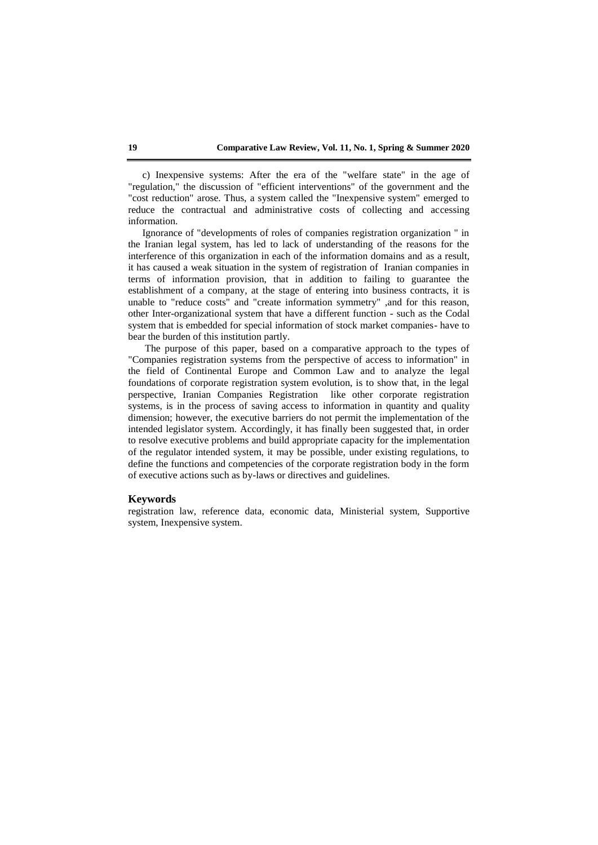c) Inexpensive systems: After the era of the "welfare state" in the age of "regulation," the discussion of "efficient interventions" of the government and the "cost reduction" arose. Thus, a system called the "Inexpensive system" emerged to reduce the contractual and administrative costs of collecting and accessing information.

Ignorance of "developments of roles of companies registration organization " in the Iranian legal system, has led to lack of understanding of the reasons for the interference of this organization in each of the information domains and as a result, it has caused a weak situation in the system of registration of Iranian companies in terms of information provision, that in addition to failing to guarantee the establishment of a company, at the stage of entering into business contracts, it is unable to "reduce costs" and "create information symmetry" ,and for this reason, other Inter-organizational system that have a different function - such as the Codal system that is embedded for special information of stock market companies- have to bear the burden of this institution partly.

The purpose of this paper, based on a comparative approach to the types of "Companies registration systems from the perspective of access to information" in the field of Continental Europe and Common Law and to analyze the legal foundations of corporate registration system evolution, is to show that, in the legal perspective, Iranian Companies Registration like other corporate registration systems, is in the process of saving access to information in quantity and quality dimension; however, the executive barriers do not permit the implementation of the intended legislator system. Accordingly, it has finally been suggested that, in order to resolve executive problems and build appropriate capacity for the implementation of the regulator intended system, it may be possible, under existing regulations, to define the functions and competencies of the corporate registration body in the form of executive actions such as by-laws or directives and guidelines.

## **Keywords**

registration law, reference data, economic data, Ministerial system, Supportive system, Inexpensive system.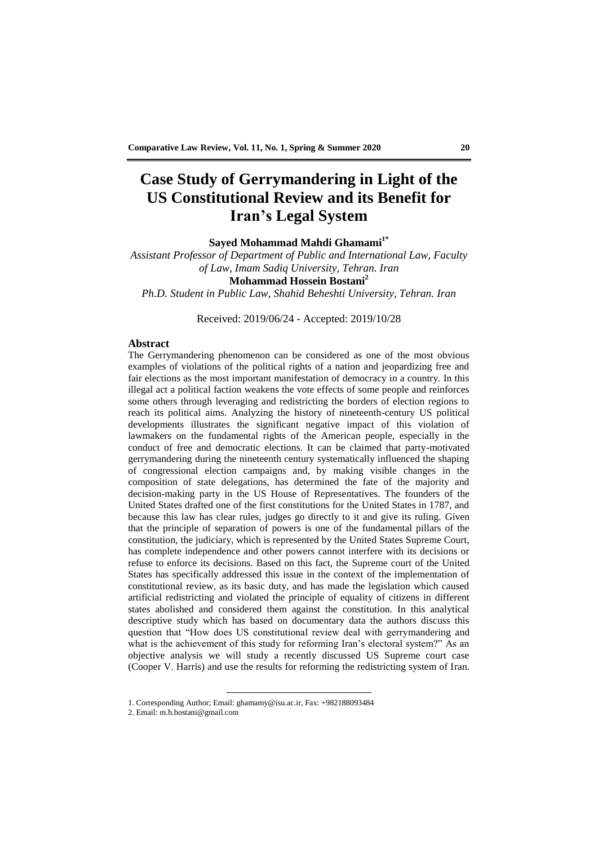# **Case Study of Gerrymandering in Light of the US Constitutional Review and its Benefit for Iran's Legal System**

**Sayed Mohammad Mahdi Ghamami1\***

*Assistant Professor of Department of Public and International Law, Faculty of Law, Imam Sadiq University, Tehran. Iran* **Mohammad Hossein Bostani<sup>2</sup>** *Ph.D. Student in Public Law, Shahid Beheshti University, Tehran. Iran*

Received: 2019/06/24 - Accepted: 2019/10/28

#### **Abstract**

The Gerrymandering phenomenon can be considered as one of the most obvious examples of violations of the political rights of a nation and jeopardizing free and fair elections as the most important manifestation of democracy in a country. In this illegal act a political faction weakens the vote effects of some people and reinforces some others through leveraging and redistricting the borders of election regions to reach its political aims. Analyzing the history of nineteenth-century US political developments illustrates the significant negative impact of this violation of lawmakers on the fundamental rights of the American people, especially in the conduct of free and democratic elections. It can be claimed that party-motivated gerrymandering during the nineteenth century systematically influenced the shaping of congressional election campaigns and, by making visible changes in the composition of state delegations, has determined the fate of the majority and decision-making party in the US House of Representatives. The founders of the United States drafted one of the first constitutions for the United States in 1787, and because this law has clear rules, judges go directly to it and give its ruling. Given that the principle of separation of powers is one of the fundamental pillars of the constitution, the judiciary, which is represented by the United States Supreme Court, has complete independence and other powers cannot interfere with its decisions or refuse to enforce its decisions. Based on this fact, the Supreme court of the United States has specifically addressed this issue in the context of the implementation of constitutional review, as its basic duty, and has made the legislation which caused artificial redistricting and violated the principle of equality of citizens in different states abolished and considered them against the constitution. In this analytical descriptive study which has based on documentary data the authors discuss this question that "How does US constitutional review deal with gerrymandering and what is the achievement of this study for reforming Iran's electoral system?" As an objective analysis we will study a recently discussed US Supreme court case (Cooper V. Harris) and use the results for reforming the redistricting system of Iran.

<sup>1.</sup> Corresponding Author; Email: ghamamy@isu.ac.ir, Fax: +982188093484

<sup>2.</sup> Email: m.h.bostani@gmail.com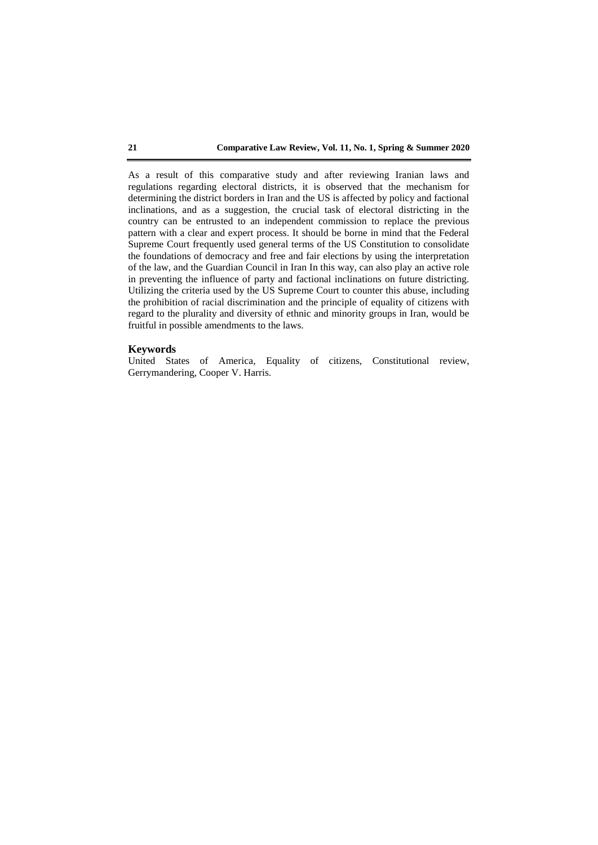As a result of this comparative study and after reviewing Iranian laws and regulations regarding electoral districts, it is observed that the mechanism for determining the district borders in Iran and the US is affected by policy and factional inclinations, and as a suggestion, the crucial task of electoral districting in the country can be entrusted to an independent commission to replace the previous pattern with a clear and expert process. It should be borne in mind that the Federal Supreme Court frequently used general terms of the US Constitution to consolidate the foundations of democracy and free and fair elections by using the interpretation of the law, and the Guardian Council in Iran In this way, can also play an active role in preventing the influence of party and factional inclinations on future districting. Utilizing the criteria used by the US Supreme Court to counter this abuse, including the prohibition of racial discrimination and the principle of equality of citizens with regard to the plurality and diversity of ethnic and minority groups in Iran, would be fruitful in possible amendments to the laws.

## **Keywords**

United States of America, Equality of citizens, Constitutional review, Gerrymandering, Cooper V. Harris.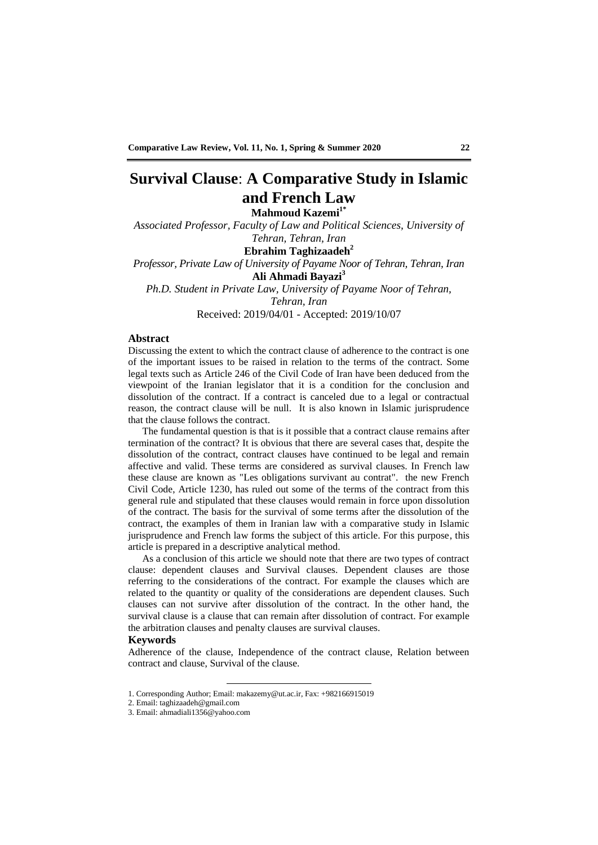# **Survival Clause**: **A Comparative Study in Islamic and French Law**

**Mahmoud Kazemi1\***

*Associated Professor, Faculty of Law and Political Sciences, University of Tehran, Tehran, Iran*

## **Ebrahim Taghizaadeh<sup>2</sup>**

*Professor, Private Law of University of Payame Noor of Tehran, Tehran, Iran* **Ali Ahmadi Bayazi<sup>3</sup>** *Ph.D. Student in Private Law, University of Payame Noor of Tehran,* 

*Tehran, Iran*

Received: 2019/04/01 - Accepted: 2019/10/07

## **Abstract**

Discussing the extent to which the contract clause of adherence to the contract is one of the important issues to be raised in relation to the terms of the contract. Some legal texts such as Article 246 of the Civil Code of Iran have been deduced from the viewpoint of the Iranian legislator that it is a condition for the conclusion and dissolution of the contract. If a contract is canceled due to a legal or contractual reason, the contract clause will be null. It is also known in Islamic jurisprudence that the clause follows the contract.

The fundamental question is that is it possible that a contract clause remains after termination of the contract? It is obvious that there are several cases that, despite the dissolution of the contract, contract clauses have continued to be legal and remain affective and valid. These terms are considered as survival clauses. In French law these clause are known as "Les obligations survivant au contrat". the new French Civil Code, Article 1230, has ruled out some of the terms of the contract from this general rule and stipulated that these clauses would remain in force upon dissolution of the contract. The basis for the survival of some terms after the dissolution of the contract, the examples of them in Iranian law with a comparative study in Islamic jurisprudence and French law forms the subject of this article. For this purpose, this article is prepared in a descriptive analytical method.

As a conclusion of this article we should note that there are two types of contract clause: dependent clauses and Survival clauses. Dependent clauses are those referring to the considerations of the contract. For example the clauses which are related to the quantity or quality of the considerations are dependent clauses. Such clauses can not survive after dissolution of the contract. In the other hand, the survival clause is a clause that can remain after dissolution of contract. For example the arbitration clauses and penalty clauses are survival clauses.

#### **Keywords**

Adherence of the clause, Independence of the contract clause, Relation between contract and clause, Survival of the clause.

<sup>1.</sup> Corresponding Author; Email: makazemy@ut.ac.ir, Fax: +982166915019

<sup>2.</sup> Email: taghizaadeh@gmail.com

<sup>3.</sup> Email: ahmadiali1356@yahoo.com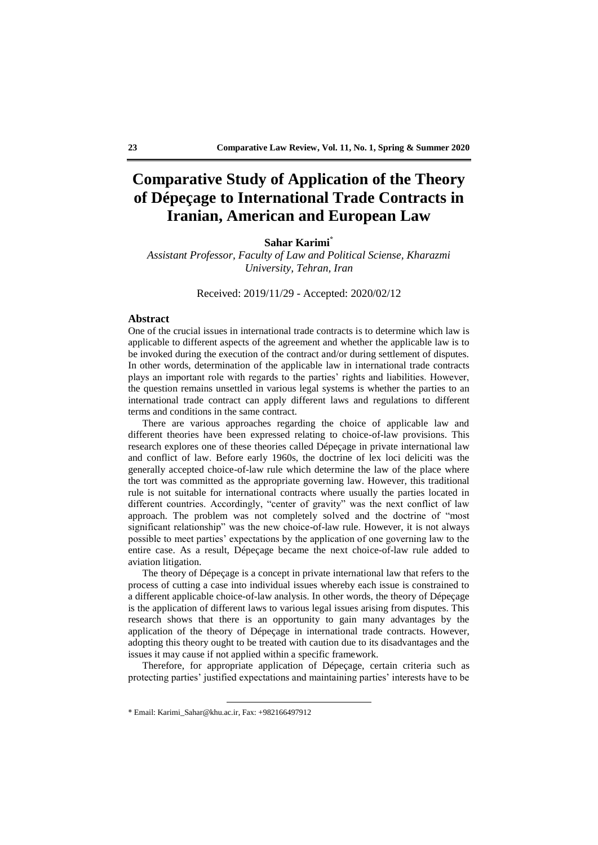# **Comparative Study of Application of the Theory of Dépeçage to International Trade Contracts in Iranian, American and European Law**

## **Sahar Karimi\***

*Assistant Professor, Faculty of Law and Political Sciense, Kharazmi University, Tehran, Iran*

Received: 2019/11/29 - Accepted: 2020/02/12

### **Abstract**

One of the crucial issues in international trade contracts is to determine which law is applicable to different aspects of the agreement and whether the applicable law is to be invoked during the execution of the contract and/or during settlement of disputes. In other words, determination of the applicable law in international trade contracts plays an important role with regards to the parties' rights and liabilities. However, the question remains unsettled in various legal systems is whether the parties to an international trade contract can apply different laws and regulations to different terms and conditions in the same contract.

There are various approaches regarding the choice of applicable law and different theories have been expressed relating to choice-of-law provisions. This research explores one of these theories called Dépeçage in private international law and conflict of law. Before early 1960s, the doctrine of lex loci deliciti was the generally accepted choice-of-law rule which determine the law of the place where the tort was committed as the appropriate governing law. However, this traditional rule is not suitable for international contracts where usually the parties located in different countries. Accordingly, "center of gravity" was the next conflict of law approach. The problem was not completely solved and the doctrine of "most significant relationship" was the new choice-of-law rule. However, it is not always possible to meet parties' expectations by the application of one governing law to the entire case. As a result, Dépeçage became the next choice-of-law rule added to aviation litigation.

The theory of Dépeçage is a concept in private international law that refers to the process of cutting a case into individual issues whereby each issue is constrained to a different applicable choice-of-law analysis. In other words, the theory of Dépeçage is the application of different laws to various legal issues arising from disputes. This research shows that there is an opportunity to gain many advantages by the application of the theory of Dépeçage in international trade contracts. However, adopting this theory ought to be treated with caution due to its disadvantages and the issues it may cause if not applied within a specific framework.

Therefore, for appropriate application of Dépeçage, certain criteria such as protecting parties' justified expectations and maintaining parties' interests have to be

<sup>\*</sup> Email: Karimi\_Sahar@khu.ac.ir, Fax: +982166497912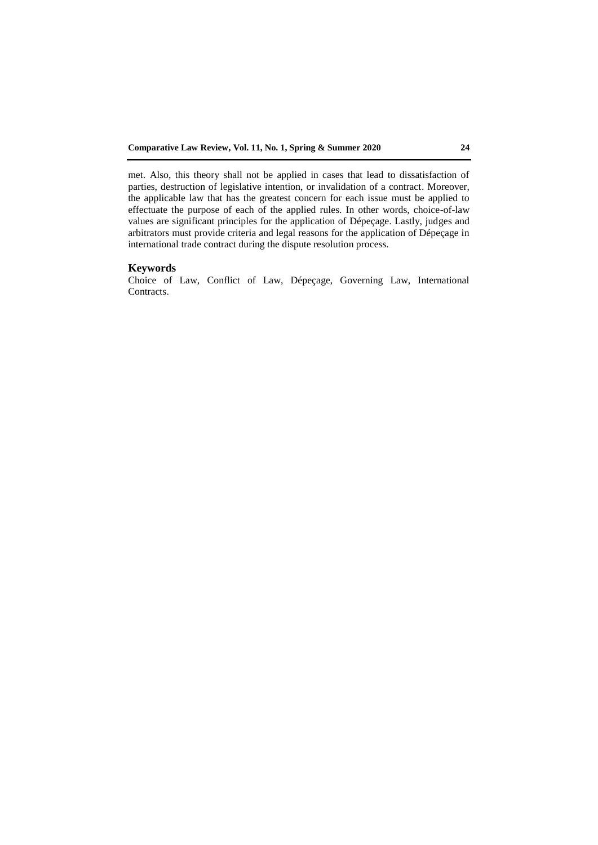met. Also, this theory shall not be applied in cases that lead to dissatisfaction of parties, destruction of legislative intention, or invalidation of a contract. Moreover, the applicable law that has the greatest concern for each issue must be applied to effectuate the purpose of each of the applied rules. In other words, choice-of-law values are significant principles for the application of Dépeçage. Lastly, judges and arbitrators must provide criteria and legal reasons for the application of Dépeçage in international trade contract during the dispute resolution process.

## **Keywords**

Choice of Law, Conflict of Law, Dépeçage, Governing Law, International Contracts.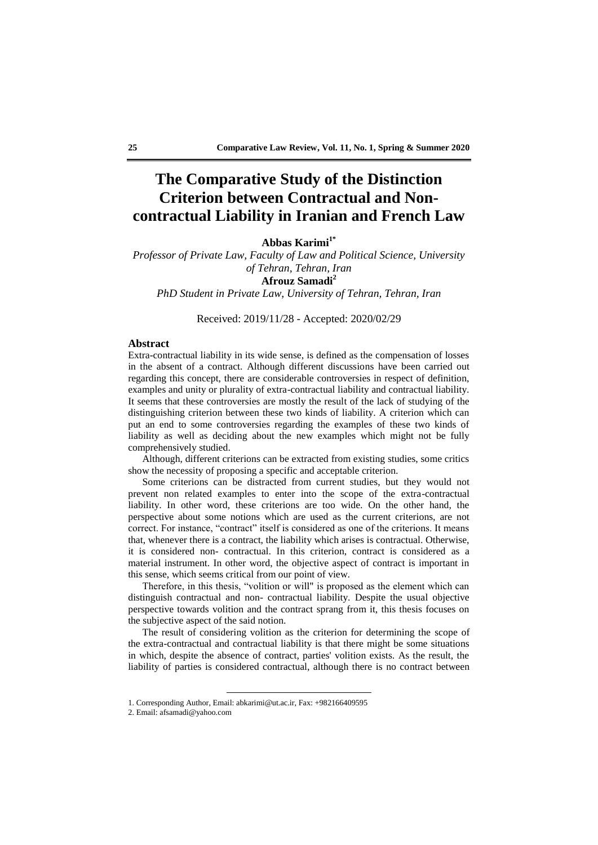# **The Comparative Study of the Distinction Criterion between Contractual and Noncontractual Liability in Iranian and French Law**

**Abbas Karimi1\***

*Professor of Private Law, Faculty of Law and Political Science, University of Tehran, Tehran, Iran* **Afrouz Samadi<sup>2</sup>** *PhD Student in Private Law, University of Tehran, Tehran, Iran*

Received: 2019/11/28 - Accepted: 2020/02/29

#### **Abstract**

Extra-contractual liability in its wide sense, is defined as the compensation of losses in the absent of a contract. Although different discussions have been carried out regarding this concept, there are considerable controversies in respect of definition, examples and unity or plurality of extra-contractual liability and contractual liability. It seems that these controversies are mostly the result of the lack of studying of the distinguishing criterion between these two kinds of liability. A criterion which can put an end to some controversies regarding the examples of these two kinds of liability as well as deciding about the new examples which might not be fully comprehensively studied.

Although, different criterions can be extracted from existing studies, some critics show the necessity of proposing a specific and acceptable criterion.

Some criterions can be distracted from current studies, but they would not prevent non related examples to enter into the scope of the extra-contractual liability. In other word, these criterions are too wide. On the other hand, the perspective about some notions which are used as the current criterions, are not correct. For instance, "contract" itself is considered as one of the criterions. It means that, whenever there is a contract, the liability which arises is contractual. Otherwise, it is considered non- contractual. In this criterion, contract is considered as a material instrument. In other word, the objective aspect of contract is important in this sense, which seems critical from our point of view.

Therefore, in this thesis, "volition or will" is proposed as the element which can distinguish contractual and non- contractual liability. Despite the usual objective perspective towards volition and the contract sprang from it, this thesis focuses on the subjective aspect of the said notion.

The result of considering volition as the criterion for determining the scope of the extra-contractual and contractual liability is that there might be some situations in which, despite the absence of contract, parties' volition exists. As the result, the liability of parties is considered contractual, although there is no contract between

<sup>1.</sup> Corresponding Author, Email: abkarimi@ut.ac.ir, Fax: +982166409595

<sup>2.</sup> Email: afsamadi@yahoo.com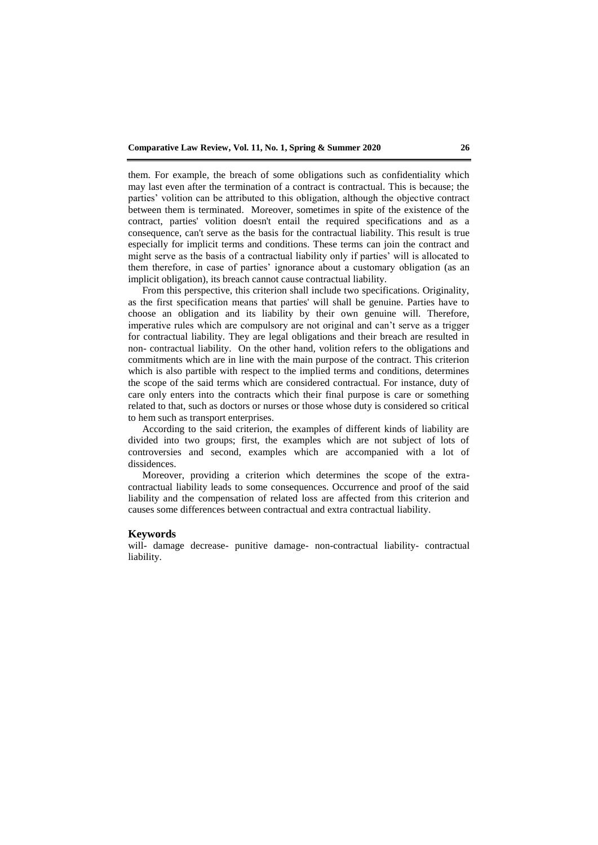them. For example, the breach of some obligations such as confidentiality which may last even after the termination of a contract is contractual. This is because; the parties' volition can be attributed to this obligation, although the objective contract between them is terminated. Moreover, sometimes in spite of the existence of the contract, parties' volition doesn't entail the required specifications and as a consequence, can't serve as the basis for the contractual liability. This result is true especially for implicit terms and conditions. These terms can join the contract and might serve as the basis of a contractual liability only if parties' will is allocated to them therefore, in case of parties' ignorance about a customary obligation (as an implicit obligation), its breach cannot cause contractual liability.

From this perspective, this criterion shall include two specifications. Originality, as the first specification means that parties' will shall be genuine. Parties have to choose an obligation and its liability by their own genuine will. Therefore, imperative rules which are compulsory are not original and can't serve as a trigger for contractual liability. They are legal obligations and their breach are resulted in non- contractual liability. On the other hand, volition refers to the obligations and commitments which are in line with the main purpose of the contract. This criterion which is also partible with respect to the implied terms and conditions, determines the scope of the said terms which are considered contractual. For instance, duty of care only enters into the contracts which their final purpose is care or something related to that, such as doctors or nurses or those whose duty is considered so critical to hem such as transport enterprises.

According to the said criterion, the examples of different kinds of liability are divided into two groups; first, the examples which are not subject of lots of controversies and second, examples which are accompanied with a lot of dissidences.

Moreover, providing a criterion which determines the scope of the extracontractual liability leads to some consequences. Occurrence and proof of the said liability and the compensation of related loss are affected from this criterion and causes some differences between contractual and extra contractual liability.

## **Keywords**

will- damage decrease- punitive damage- non-contractual liability- contractual liability.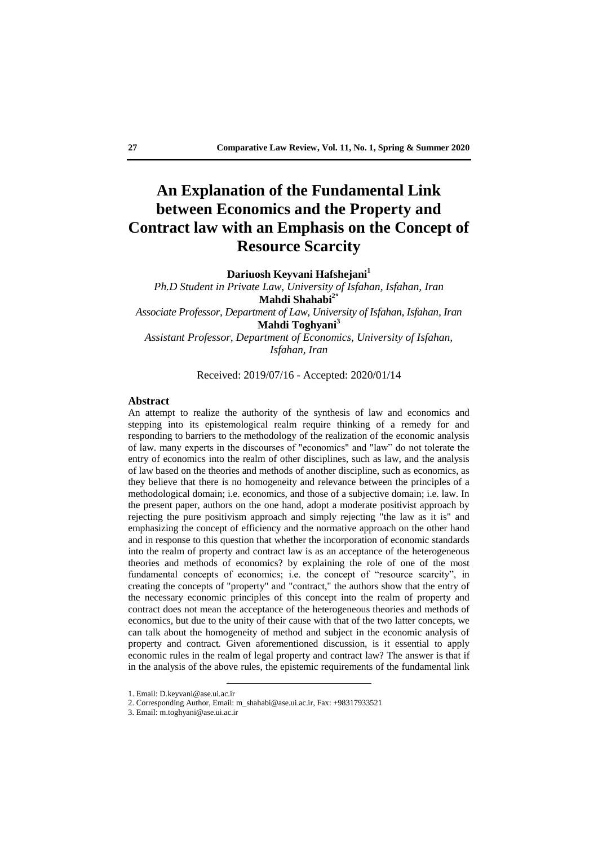# **An Explanation of the Fundamental Link between Economics and the Property and Contract law with an Emphasis on the Concept of Resource Scarcity**

**Dariuosh Keyvani Hafshejani<sup>1</sup>**

*Ph.D Student in Private Law, University of Isfahan, Isfahan, Iran* **Mahdi Shahabi2\*** *Associate Professor, Department of Law, University of Isfahan, Isfahan, Iran* **Mahdi Toghyani<sup>3</sup>** *Assistant Professor, Department of Economics, University of Isfahan, Isfahan, Iran*

Received: 2019/07/16 - Accepted: 2020/01/14

## **Abstract**

An attempt to realize the authority of the synthesis of law and economics and stepping into its epistemological realm require thinking of a remedy for and responding to barriers to the methodology of the realization of the economic analysis of law. many experts in the discourses of "economics" and "law" do not tolerate the entry of economics into the realm of other disciplines, such as law, and the analysis of law based on the theories and methods of another discipline, such as economics, as they believe that there is no homogeneity and relevance between the principles of a methodological domain; i.e. economics, and those of a subjective domain; i.e. law. In the present paper, authors on the one hand, adopt a moderate positivist approach by rejecting the pure positivism approach and simply rejecting "the law as it is" and emphasizing the concept of efficiency and the normative approach on the other hand and in response to this question that whether the incorporation of economic standards into the realm of property and contract law is as an acceptance of the heterogeneous theories and methods of economics? by explaining the role of one of the most fundamental concepts of economics; i.e. the concept of "resource scarcity", in creating the concepts of "property" and "contract," the authors show that the entry of the necessary economic principles of this concept into the realm of property and contract does not mean the acceptance of the heterogeneous theories and methods of economics, but due to the unity of their cause with that of the two latter concepts, we can talk about the homogeneity of method and subject in the economic analysis of property and contract. Given aforementioned discussion, is it essential to apply economic rules in the realm of legal property and contract law? The answer is that if in the analysis of the above rules, the epistemic requirements of the fundamental link

<sup>1.</sup> Email: D.keyvani@ase.ui.ac.ir

<sup>2.</sup> Corresponding Author, Email: m\_shahabi@ase.ui.ac.ir, Fax: +98317933521

<sup>3.</sup> Email: m.toghyani@ase.ui.ac.ir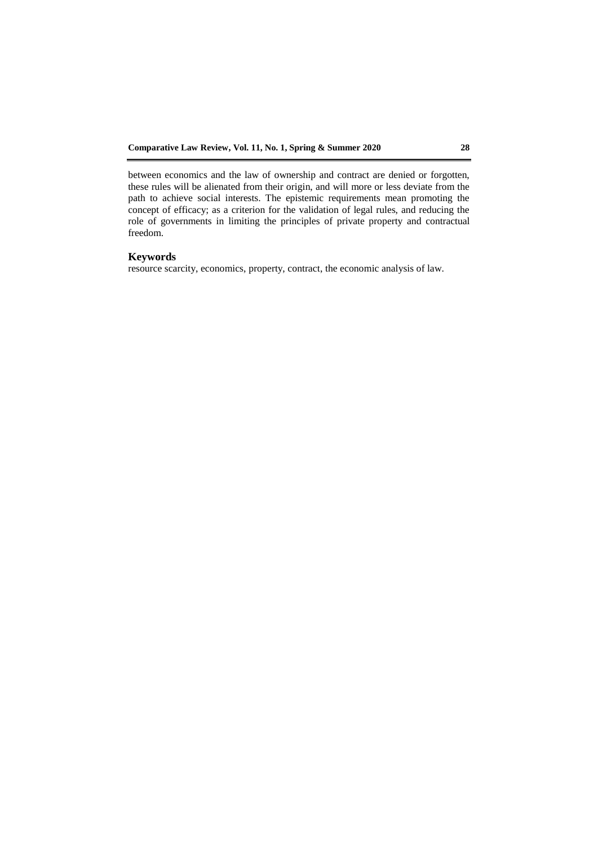between economics and the law of ownership and contract are denied or forgotten, these rules will be alienated from their origin, and will more or less deviate from the path to achieve social interests. The epistemic requirements mean promoting the concept of efficacy; as a criterion for the validation of legal rules, and reducing the role of governments in limiting the principles of private property and contractual freedom.

## **Keywords**

resource scarcity, economics, property, contract, the economic analysis of law.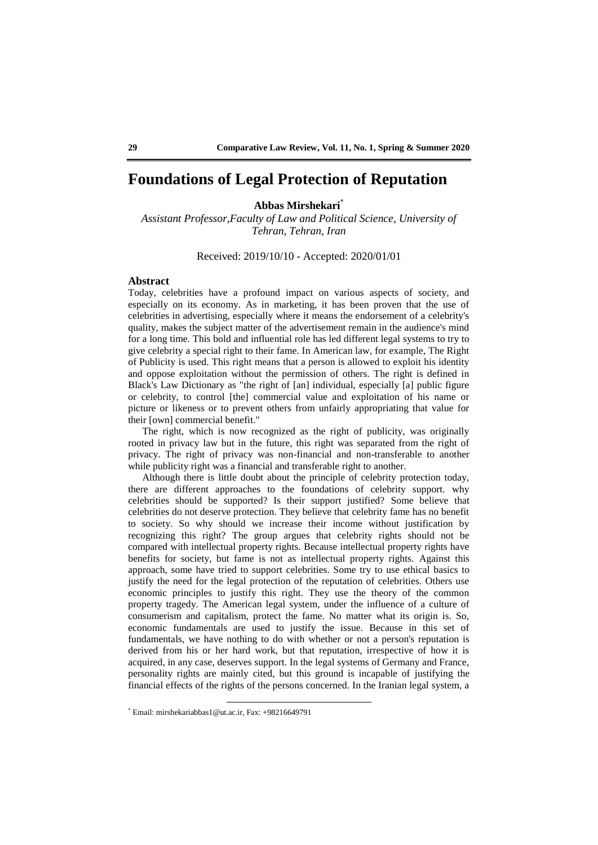## **Foundations of Legal Protection of Reputation**

### **Abbas Mirshekari**\*

*Assistant Professor,Faculty of Law and Political Science, University of Tehran, Tehran, Iran*

Received: 2019/10/10 - Accepted: 2020/01/01

## **Abstract**

Today, celebrities have a profound impact on various aspects of society, and especially on its economy. As in marketing, it has been proven that the use of celebrities in advertising, especially where it means the endorsement of a celebrity's quality, makes the subject matter of the advertisement remain in the audience's mind for a long time. This bold and influential role has led different legal systems to try to give celebrity a special right to their fame. In American law, for example, The Right of Publicity is used. This right means that a person is allowed to exploit his identity and oppose exploitation without the permission of others. The right is defined in Black's Law Dictionary as "the right of [an] individual, especially [a] public figure or celebrity, to control [the] commercial value and exploitation of his name or picture or likeness or to prevent others from unfairly appropriating that value for their [own] commercial benefit."

The right, which is now recognized as the right of publicity, was originally rooted in privacy law but in the future, this right was separated from the right of privacy. The right of privacy was non-financial and non-transferable to another while publicity right was a financial and transferable right to another.

Although there is little doubt about the principle of celebrity protection today, there are different approaches to the foundations of celebrity support. why celebrities should be supported? Is their support justified? Some believe that celebrities do not deserve protection. They believe that celebrity fame has no benefit to society. So why should we increase their income without justification by recognizing this right? The group argues that celebrity rights should not be compared with intellectual property rights. Because intellectual property rights have benefits for society, but fame is not as intellectual property rights. Against this approach, some have tried to support celebrities. Some try to use ethical basics to justify the need for the legal protection of the reputation of celebrities. Others use economic principles to justify this right. They use the theory of the common property tragedy. The American legal system, under the influence of a culture of consumerism and capitalism, protect the fame. No matter what its origin is. So, economic fundamentals are used to justify the issue. Because in this set of fundamentals, we have nothing to do with whether or not a person's reputation is derived from his or her hard work, but that reputation, irrespective of how it is acquired, in any case, deserves support. In the legal systems of Germany and France, personality rights are mainly cited, but this ground is incapable of justifying the financial effects of the rights of the persons concerned. In the Iranian legal system, a

<sup>\*</sup> Email: mirshekariabbas1@ut.ac.ir, Fax: +98216649791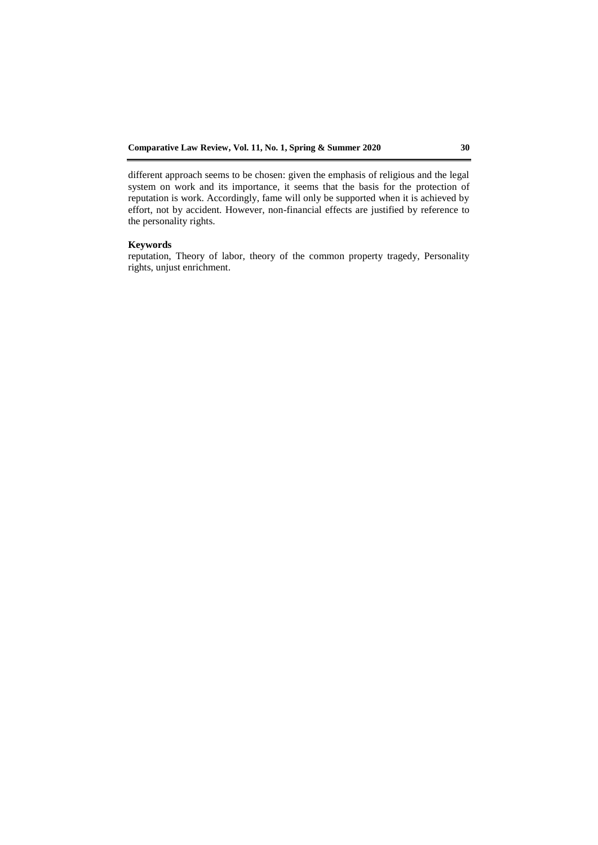different approach seems to be chosen: given the emphasis of religious and the legal system on work and its importance, it seems that the basis for the protection of reputation is work. Accordingly, fame will only be supported when it is achieved by effort, not by accident. However, non-financial effects are justified by reference to the personality rights.

### **Keywords**

reputation, Theory of labor, theory of the common property tragedy, Personality rights, unjust enrichment.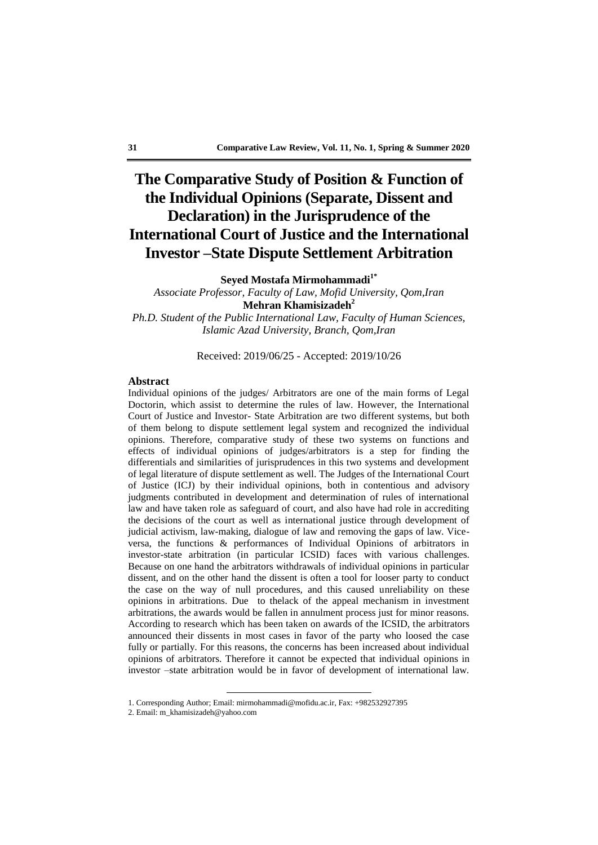# **The Comparative Study of Position & Function of the Individual Opinions (Separate, Dissent and Declaration) in the Jurisprudence of the International Court of Justice and the International Investor –State Dispute Settlement Arbitration**

**Seyed Mostafa Mirmohammadi1\***

*Associate Professor, Faculty of Law, Mofid University, Qom,Iran* **Mehran Khamisizadeh<sup>2</sup>** *Ph.D. Student of the Public International Law, Faculty of Human Sciences,* 

*Islamic Azad University, Branch, Qom,Iran*

Received: 2019/06/25 - Accepted: 2019/10/26

#### **Abstract**

Individual opinions of the judges/ Arbitrators are one of the main forms of Legal Doctorin, which assist to determine the rules of law. However, the International Court of Justice and Investor- State Arbitration are two different systems, but both of them belong to dispute settlement legal system and recognized the individual opinions. Therefore, comparative study of these two systems on functions and effects of individual opinions of judges/arbitrators is a step for finding the differentials and similarities of jurisprudences in this two systems and development of legal literature of dispute settlement as well. The Judges of the International Court of Justice (ICJ) by their individual opinions, both in contentious and advisory judgments contributed in development and determination of rules of international law and have taken role as safeguard of court, and also have had role in accrediting the decisions of the court as well as international justice through development of judicial activism, law-making, dialogue of law and removing the gaps of law. Viceversa, the functions & performances of Individual Opinions of arbitrators in investor-state arbitration (in particular ICSID) faces with various challenges. Because on one hand the arbitrators withdrawals of individual opinions in particular dissent, and on the other hand the dissent is often a tool for looser party to conduct the case on the way of null procedures, and this caused unreliability on these opinions in arbitrations. Due to thelack of the appeal mechanism in investment arbitrations, the awards would be fallen in annulment process just for minor reasons. According to research which has been taken on awards of the ICSID, the arbitrators announced their dissents in most cases in favor of the party who loosed the case fully or partially. For this reasons, the concerns has been increased about individual opinions of arbitrators. Therefore it cannot be expected that individual opinions in investor –state arbitration would be in favor of development of international law.

<sup>1.</sup> Corresponding Author; Email: mirmohammadi@mofidu.ac.ir, Fax: +982532927395

<sup>2.</sup> Email: m\_khamisizadeh@yahoo.com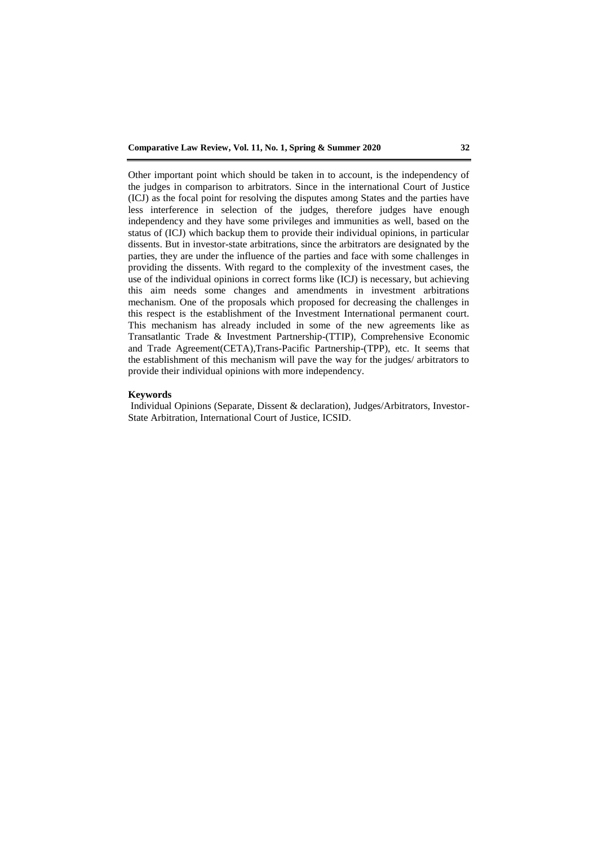Other important point which should be taken in to account, is the independency of the judges in comparison to arbitrators. Since in the international Court of Justice (ICJ) as the focal point for resolving the disputes among States and the parties have less interference in selection of the judges, therefore judges have enough independency and they have some privileges and immunities as well, based on the status of (ICJ) which backup them to provide their individual opinions, in particular dissents. But in investor-state arbitrations, since the arbitrators are designated by the parties, they are under the influence of the parties and face with some challenges in providing the dissents. With regard to the complexity of the investment cases, the use of the individual opinions in correct forms like (ICJ) is necessary, but achieving this aim needs some changes and amendments in investment arbitrations mechanism. One of the proposals which proposed for decreasing the challenges in this respect is the establishment of the Investment International permanent court. This mechanism has already included in some of the new agreements like as Transatlantic Trade & Investment Partnership-(TTIP), Comprehensive Economic and Trade Agreement(CETA),Trans-Pacific Partnership-(TPP), etc. It seems that the establishment of this mechanism will pave the way for the judges/ arbitrators to provide their individual opinions with more independency.

### **Keywords**

Individual Opinions (Separate, Dissent & declaration), Judges/Arbitrators, Investor-State Arbitration, International Court of Justice, ICSID.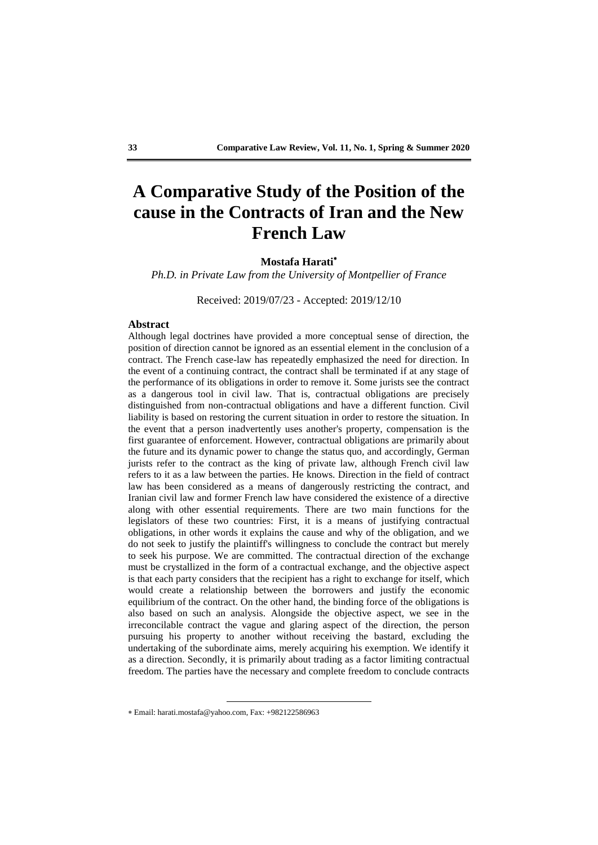# **A Comparative Study of the Position of the cause in the Contracts of Iran and the New French Law**

### **Mostafa Harati**

*Ph.D. in Private Law from the University of Montpellier of France*

Received: 2019/07/23 - Accepted: 2019/12/10

## **Abstract**

Although legal doctrines have provided a more conceptual sense of direction, the position of direction cannot be ignored as an essential element in the conclusion of a contract. The French case-law has repeatedly emphasized the need for direction. In the event of a continuing contract, the contract shall be terminated if at any stage of the performance of its obligations in order to remove it. Some jurists see the contract as a dangerous tool in civil law. That is, contractual obligations are precisely distinguished from non-contractual obligations and have a different function. Civil liability is based on restoring the current situation in order to restore the situation. In the event that a person inadvertently uses another's property, compensation is the first guarantee of enforcement. However, contractual obligations are primarily about the future and its dynamic power to change the status quo, and accordingly, German jurists refer to the contract as the king of private law, although French civil law refers to it as a law between the parties. He knows. Direction in the field of contract law has been considered as a means of dangerously restricting the contract, and Iranian civil law and former French law have considered the existence of a directive along with other essential requirements. There are two main functions for the legislators of these two countries: First, it is a means of justifying contractual obligations, in other words it explains the cause and why of the obligation, and we do not seek to justify the plaintiff's willingness to conclude the contract but merely to seek his purpose. We are committed. The contractual direction of the exchange must be crystallized in the form of a contractual exchange, and the objective aspect is that each party considers that the recipient has a right to exchange for itself, which would create a relationship between the borrowers and justify the economic equilibrium of the contract. On the other hand, the binding force of the obligations is also based on such an analysis. Alongside the objective aspect, we see in the irreconcilable contract the vague and glaring aspect of the direction, the person pursuing his property to another without receiving the bastard, excluding the undertaking of the subordinate aims, merely acquiring his exemption. We identify it as a direction. Secondly, it is primarily about trading as a factor limiting contractual freedom. The parties have the necessary and complete freedom to conclude contracts

<sup>1</sup> Email: harati.mostafa@yahoo.com, Fax: +982122586963